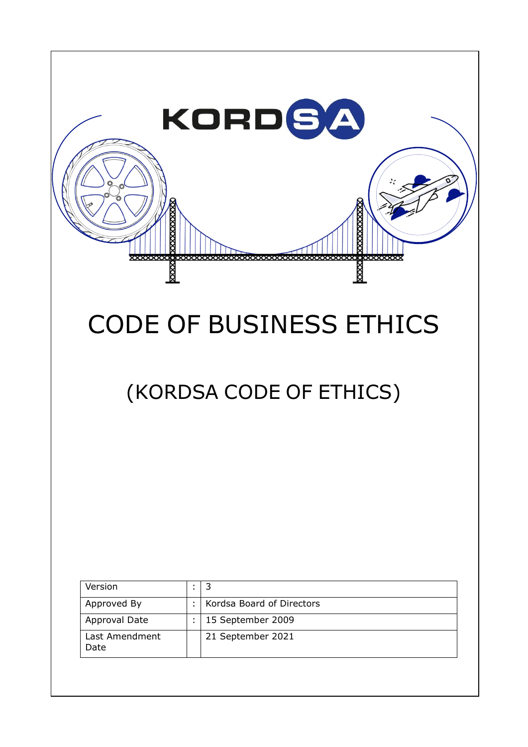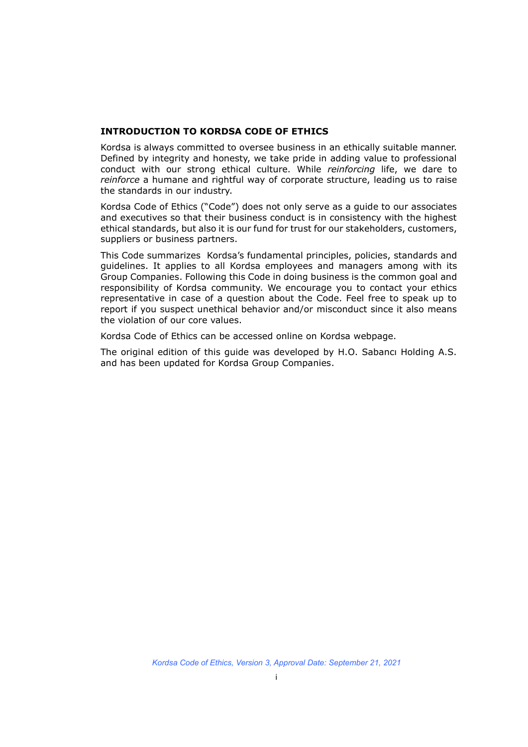#### **INTRODUCTION TO KORDSA CODE OF ETHICS**

Kordsa is always committed to oversee business in an ethically suitable manner. Defined by integrity and honesty, we take pride in adding value to professional conduct with our strong ethical culture. While *reinforcing* life, we dare to *reinforce* a humane and rightful way of corporate structure, leading us to raise the standards in our industry.

Kordsa Code of Ethics ("Code") does not only serve as a guide to our associates and executives so that their business conduct is in consistency with the highest ethical standards, but also it is our fund for trust for our stakeholders, customers, suppliers or business partners.

This Code summarizes Kordsa's fundamental principles, policies, standards and guidelines. It applies to all Kordsa employees and managers among with its Group Companies. Following this Code in doing business is the common goal and responsibility of Kordsa community. We encourage you to contact your ethics representative in case of a question about the Code. Feel free to speak up to report if you suspect unethical behavior and/or misconduct since it also means the violation of our core values.

Kordsa Code of Ethics can be accessed online on Kordsa webpage.

The original edition of this guide was developed by H.O. Sabancı Holding A.S. and has been updated for Kordsa Group Companies.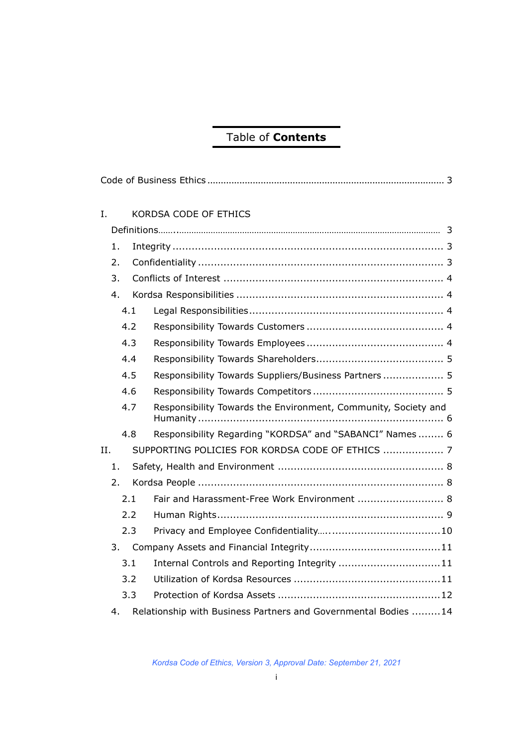## Table of **Contents**

| I.  |                                                                       | KORDSA CODE OF ETHICS                                          |  |  |
|-----|-----------------------------------------------------------------------|----------------------------------------------------------------|--|--|
|     |                                                                       |                                                                |  |  |
| 1.  |                                                                       |                                                                |  |  |
|     |                                                                       |                                                                |  |  |
|     | 2.<br>3.                                                              |                                                                |  |  |
| 4.  |                                                                       |                                                                |  |  |
| 4.1 |                                                                       |                                                                |  |  |
|     |                                                                       |                                                                |  |  |
|     | 4.2                                                                   |                                                                |  |  |
|     | 4.3                                                                   |                                                                |  |  |
|     | 4.4                                                                   |                                                                |  |  |
|     | 4.5                                                                   | Responsibility Towards Suppliers/Business Partners 5           |  |  |
|     | 4.6                                                                   |                                                                |  |  |
|     | 4.7                                                                   | Responsibility Towards the Environment, Community, Society and |  |  |
|     | 4.8                                                                   | Responsibility Regarding "KORDSA" and "SABANCI" Names 6        |  |  |
| II. |                                                                       | SUPPORTING POLICIES FOR KORDSA CODE OF ETHICS  7               |  |  |
| 1.  |                                                                       |                                                                |  |  |
| 2.  |                                                                       |                                                                |  |  |
|     | 2.1                                                                   | Fair and Harassment-Free Work Environment  8                   |  |  |
|     | 2.2                                                                   |                                                                |  |  |
|     | 2.3                                                                   |                                                                |  |  |
|     | 3.                                                                    |                                                                |  |  |
|     | 3.1                                                                   | Internal Controls and Reporting Integrity  11                  |  |  |
|     | 3.2                                                                   |                                                                |  |  |
|     | 3.3                                                                   |                                                                |  |  |
|     | Relationship with Business Partners and Governmental Bodies  14<br>4. |                                                                |  |  |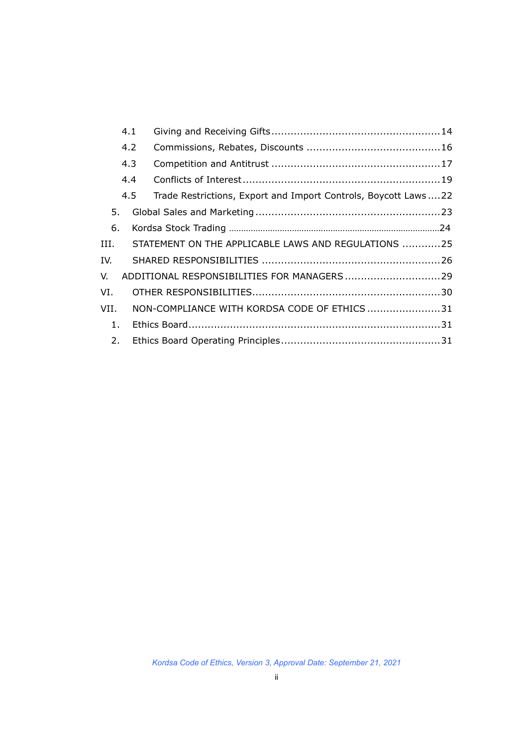|      | 4.1 |                                                                |  |
|------|-----|----------------------------------------------------------------|--|
|      | 4.2 |                                                                |  |
|      | 4.3 |                                                                |  |
|      | 4.4 |                                                                |  |
|      | 4.5 | Trade Restrictions, Export and Import Controls, Boycott Laws22 |  |
| 5.   |     |                                                                |  |
| 6.   |     |                                                                |  |
| III. |     | STATEMENT ON THE APPLICABLE LAWS AND REGULATIONS 25            |  |
| IV.  |     |                                                                |  |
| V.   |     |                                                                |  |
| VI.  |     |                                                                |  |
| VII. |     | NON-COMPLIANCE WITH KORDSA CODE OF ETHICS31                    |  |
| 1.   |     |                                                                |  |
| 2.   |     |                                                                |  |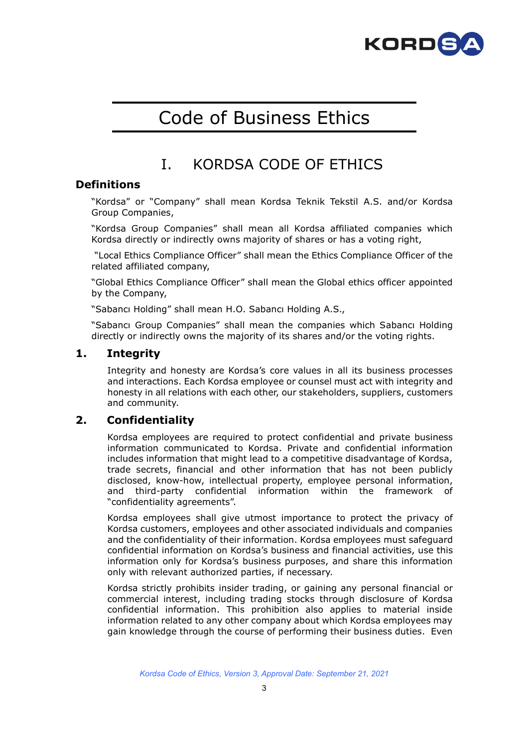

# Code of Business Ethics

## I. KORDSA CODE OF ETHICS

## **Definitions**

"Kordsa" or "Company" shall mean Kordsa Teknik Tekstil A.S. and/or Kordsa Group Companies,

"Kordsa Group Companies" shall mean all Kordsa affiliated companies which Kordsa directly or indirectly owns majority of shares or has a voting right,

"Local Ethics Compliance Officer" shall mean the Ethics Compliance Officer of the related affiliated company,

"Global Ethics Compliance Officer" shall mean the Global ethics officer appointed by the Company,

"Sabancı Holding" shall mean H.O. Sabancı Holding A.S.,

"Sabancı Group Companies" shall mean the companies which Sabancı Holding directly or indirectly owns the majority of its shares and/or the voting rights.

## **1. Integrity**

Integrity and honesty are Kordsa's core values in all its business processes and interactions. Each Kordsa employee or counsel must act with integrity and honesty in all relations with each other, our stakeholders, suppliers, customers and community.

## **2. Confidentiality**

Kordsa employees are required to protect confidential and private business information communicated to Kordsa. Private and confidential information includes information that might lead to a competitive disadvantage of Kordsa, trade secrets, financial and other information that has not been publicly disclosed, know-how, intellectual property, employee personal information, and third-party confidential information within the framework of "confidentiality agreements".

Kordsa employees shall give utmost importance to protect the privacy of Kordsa customers, employees and other associated individuals and companies and the confidentiality of their information. Kordsa employees must safeguard confidential information on Kordsa's business and financial activities, use this information only for Kordsa's business purposes, and share this information only with relevant authorized parties, if necessary.

Kordsa strictly prohibits insider trading, or gaining any personal financial or commercial interest, including trading stocks through disclosure of Kordsa confidential information. This prohibition also applies to material inside information related to any other company about which Kordsa employees may gain knowledge through the course of performing their business duties. Even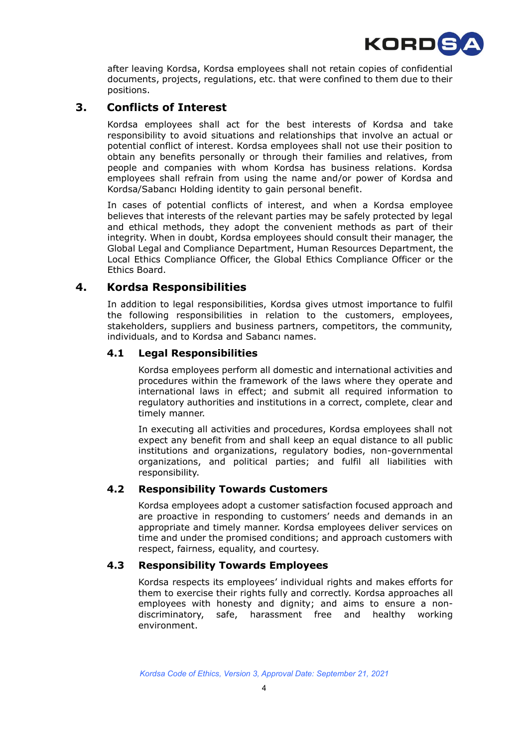

after leaving Kordsa, Kordsa employees shall not retain copies of confidential documents, projects, regulations, etc. that were confined to them due to their positions.

## **3. Conflicts of Interest**

Kordsa employees shall act for the best interests of Kordsa and take responsibility to avoid situations and relationships that involve an actual or potential conflict of interest. Kordsa employees shall not use their position to obtain any benefits personally or through their families and relatives, from people and companies with whom Kordsa has business relations. Kordsa employees shall refrain from using the name and/or power of Kordsa and Kordsa/Sabancı Holding identity to gain personal benefit.

In cases of potential conflicts of interest, and when a Kordsa employee believes that interests of the relevant parties may be safely protected by legal and ethical methods, they adopt the convenient methods as part of their integrity. When in doubt, Kordsa employees should consult their manager, the Global Legal and Compliance Department, Human Resources Department, the Local Ethics Compliance Officer, the Global Ethics Compliance Officer or the Ethics Board.

## **4. Kordsa Responsibilities**

In addition to legal responsibilities, Kordsa gives utmost importance to fulfil the following responsibilities in relation to the customers, employees, stakeholders, suppliers and business partners, competitors, the community, individuals, and to Kordsa and Sabancı names.

#### **4.1 Legal Responsibilities**

Kordsa employees perform all domestic and international activities and procedures within the framework of the laws where they operate and international laws in effect; and submit all required information to regulatory authorities and institutions in a correct, complete, clear and timely manner.

In executing all activities and procedures, Kordsa employees shall not expect any benefit from and shall keep an equal distance to all public institutions and organizations, regulatory bodies, non-governmental organizations, and political parties; and fulfil all liabilities with responsibility.

## **4.2 Responsibility Towards Customers**

Kordsa employees adopt a customer satisfaction focused approach and are proactive in responding to customers' needs and demands in an appropriate and timely manner. Kordsa employees deliver services on time and under the promised conditions; and approach customers with respect, fairness, equality, and courtesy.

## **4.3 Responsibility Towards Employees**

Kordsa respects its employees' individual rights and makes efforts for them to exercise their rights fully and correctly. Kordsa approaches all employees with honesty and dignity; and aims to ensure a nondiscriminatory, safe, harassment free and healthy working environment.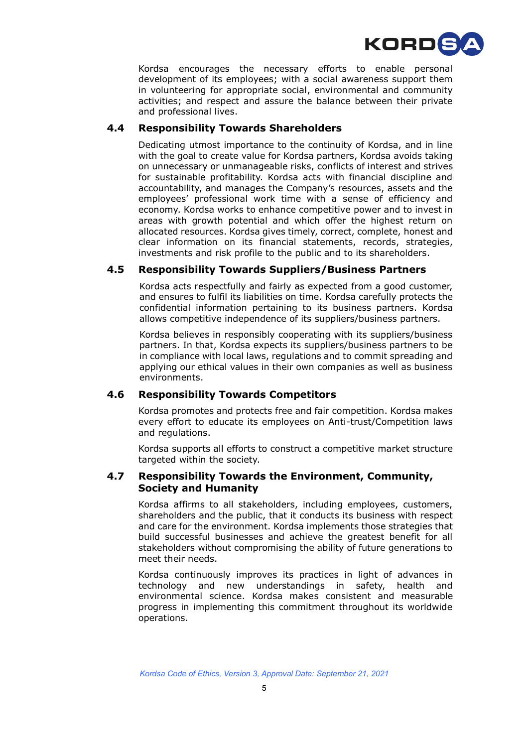

Kordsa encourages the necessary efforts to enable personal development of its employees; with a social awareness support them in volunteering for appropriate social, environmental and community activities; and respect and assure the balance between their private and professional lives.

#### **4.4 Responsibility Towards Shareholders**

Dedicating utmost importance to the continuity of Kordsa, and in line with the goal to create value for Kordsa partners, Kordsa avoids taking on unnecessary or unmanageable risks, conflicts of interest and strives for sustainable profitability. Kordsa acts with financial discipline and accountability, and manages the Company's resources, assets and the employees' professional work time with a sense of efficiency and economy. Kordsa works to enhance competitive power and to invest in areas with growth potential and which offer the highest return on allocated resources. Kordsa gives timely, correct, complete, honest and clear information on its financial statements, records, strategies, investments and risk profile to the public and to its shareholders.

#### **4.5 Responsibility Towards Suppliers/Business Partners**

Kordsa acts respectfully and fairly as expected from a good customer, and ensures to fulfil its liabilities on time. Kordsa carefully protects the confidential information pertaining to its business partners. Kordsa allows competitive independence of its suppliers/business partners.

Kordsa believes in responsibly cooperating with its suppliers/business partners. In that, Kordsa expects its suppliers/business partners to be in compliance with local laws, regulations and to commit spreading and applying our ethical values in their own companies as well as business environments.

#### **4.6 Responsibility Towards Competitors**

Kordsa promotes and protects free and fair competition. Kordsa makes every effort to educate its employees on Anti-trust/Competition laws and regulations.

Kordsa supports all efforts to construct a competitive market structure targeted within the society.

#### **4.7 Responsibility Towards the Environment, Community, Society and Humanity**

Kordsa affirms to all stakeholders, including employees, customers, shareholders and the public, that it conducts its business with respect and care for the environment. Kordsa implements those strategies that build successful businesses and achieve the greatest benefit for all stakeholders without compromising the ability of future generations to meet their needs.

Kordsa continuously improves its practices in light of advances in technology and new understandings in safety, health and environmental science. Kordsa makes consistent and measurable progress in implementing this commitment throughout its worldwide operations.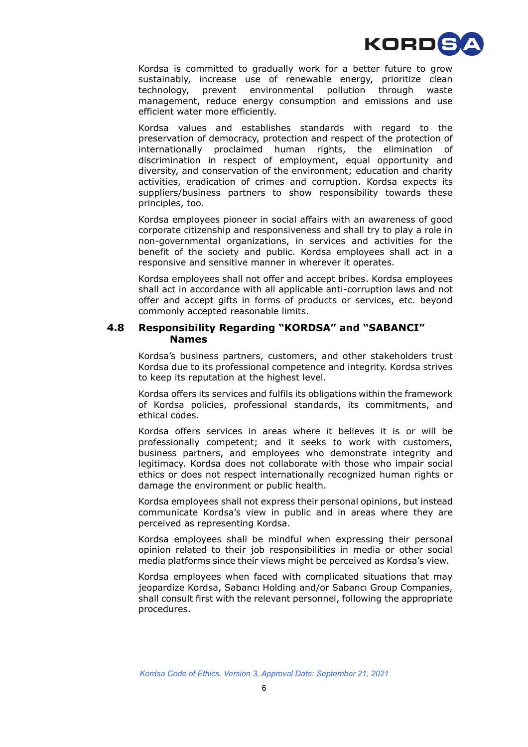

Kordsa is committed to gradually work for a better future to grow sustainably, increase use of renewable energy, prioritize clean technology, prevent environmental pollution through waste management, reduce energy consumption and emissions and use efficient water more efficiently.

Kordsa values and establishes standards with regard to the preservation of democracy, protection and respect of the protection of internationally proclaimed human rights, the elimination of discrimination in respect of employment, equal opportunity and diversity, and conservation of the environment; education and charity activities, eradication of crimes and corruption. Kordsa expects its suppliers/business partners to show responsibility towards these principles, too.

Kordsa employees pioneer in social affairs with an awareness of good corporate citizenship and responsiveness and shall try to play a role in non-governmental organizations, in services and activities for the benefit of the society and public. Kordsa employees shall act in a responsive and sensitive manner in wherever it operates.

Kordsa employees shall not offer and accept bribes. Kordsa employees shall act in accordance with all applicable anti-corruption laws and not offer and accept gifts in forms of products or services, etc. beyond commonly accepted reasonable limits.

#### **4.8 Responsibility Regarding "KORDSA" and "SABANCI" Names**

Kordsa's business partners, customers, and other stakeholders trust Kordsa due to its professional competence and integrity. Kordsa strives to keep its reputation at the highest level.

Kordsa offers its services and fulfils its obligations within the framework of Kordsa policies, professional standards, its commitments, and ethical codes.

Kordsa offers services in areas where it believes it is or will be professionally competent; and it seeks to work with customers, business partners, and employees who demonstrate integrity and legitimacy. Kordsa does not collaborate with those who impair social ethics or does not respect internationally recognized human rights or damage the environment or public health.

Kordsa employees shall not express their personal opinions, but instead communicate Kordsa's view in public and in areas where they are perceived as representing Kordsa.

Kordsa employees shall be mindful when expressing their personal opinion related to their job responsibilities in media or other social media platforms since their views might be perceived as Kordsa's view.

Kordsa employees when faced with complicated situations that may jeopardize Kordsa, Sabancı Holding and/or Sabancı Group Companies, shall consult first with the relevant personnel, following the appropriate procedures.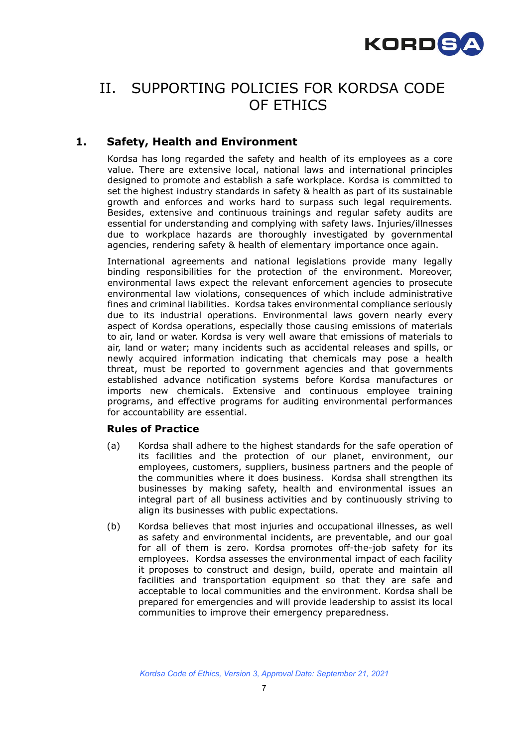

## II. SUPPORTING POLICIES FOR KORDSA CODE OF ETHICS

## **1. Safety, Health and Environment**

Kordsa has long regarded the safety and health of its employees as a core value. There are extensive local, national laws and international principles designed to promote and establish a safe workplace. Kordsa is committed to set the highest industry standards in safety & health as part of its sustainable growth and enforces and works hard to surpass such legal requirements. Besides, extensive and continuous trainings and regular safety audits are essential for understanding and complying with safety laws. Injuries/illnesses due to workplace hazards are thoroughly investigated by governmental agencies, rendering safety & health of elementary importance once again.

International agreements and national legislations provide many legally binding responsibilities for the protection of the environment. Moreover, environmental laws expect the relevant enforcement agencies to prosecute environmental law violations, consequences of which include administrative fines and criminal liabilities. Kordsa takes environmental compliance seriously due to its industrial operations. Environmental laws govern nearly every aspect of Kordsa operations, especially those causing emissions of materials to air, land or water. Kordsa is very well aware that emissions of materials to air, land or water; many incidents such as accidental releases and spills, or newly acquired information indicating that chemicals may pose a health threat, must be reported to government agencies and that governments established advance notification systems before Kordsa manufactures or imports new chemicals. Extensive and continuous employee training programs, and effective programs for auditing environmental performances for accountability are essential.

## **Rules of Practice**

- (a) Kordsa shall adhere to the highest standards for the safe operation of its facilities and the protection of our planet, environment, our employees, customers, suppliers, business partners and the people of the communities where it does business. Kordsa shall strengthen its businesses by making safety, health and environmental issues an integral part of all business activities and by continuously striving to align its businesses with public expectations.
- (b) Kordsa believes that most injuries and occupational illnesses, as well as safety and environmental incidents, are preventable, and our goal for all of them is zero. Kordsa promotes off-the-job safety for its employees. Kordsa assesses the environmental impact of each facility it proposes to construct and design, build, operate and maintain all facilities and transportation equipment so that they are safe and acceptable to local communities and the environment. Kordsa shall be prepared for emergencies and will provide leadership to assist its local communities to improve their emergency preparedness.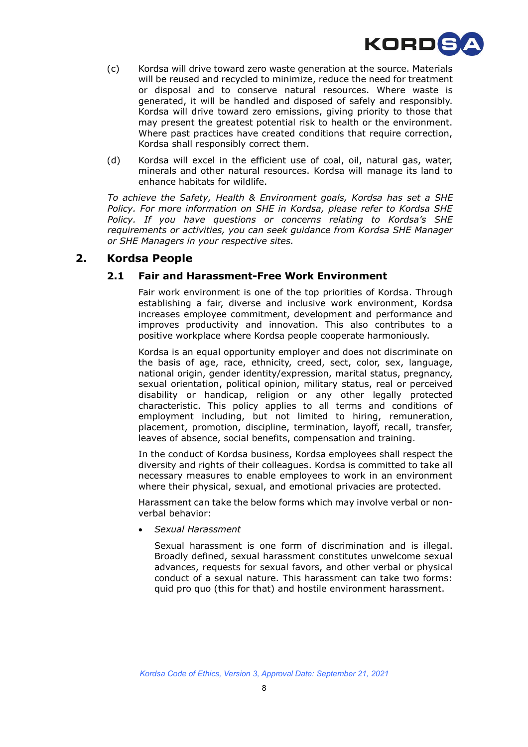

- (c) Kordsa will drive toward zero waste generation at the source. Materials will be reused and recycled to minimize, reduce the need for treatment or disposal and to conserve natural resources. Where waste is generated, it will be handled and disposed of safely and responsibly. Kordsa will drive toward zero emissions, giving priority to those that may present the greatest potential risk to health or the environment. Where past practices have created conditions that require correction, Kordsa shall responsibly correct them.
- (d) Kordsa will excel in the efficient use of coal, oil, natural gas, water, minerals and other natural resources. Kordsa will manage its land to enhance habitats for wildlife.

*To achieve the Safety, Health & Environment goals, Kordsa has set a SHE Policy. For more information on SHE in Kordsa, please refer to Kordsa SHE Policy. If you have questions or concerns relating to Kordsa's SHE requirements or activities, you can seek guidance from Kordsa SHE Manager or SHE Managers in your respective sites.*

#### **2. Kordsa People**

#### **2.1 Fair and Harassment-Free Work Environment**

Fair work environment is one of the top priorities of Kordsa. Through establishing a fair, diverse and inclusive work environment, Kordsa increases employee commitment, development and performance and improves productivity and innovation. This also contributes to a positive workplace where Kordsa people cooperate harmoniously.

Kordsa is an equal opportunity employer and does not discriminate on the basis of age, race, ethnicity, creed, sect, color, sex, language, national origin, gender identity/expression, marital status, pregnancy, sexual orientation, political opinion, military status, real or perceived disability or handicap, religion or any other legally protected characteristic. This policy applies to all terms and conditions of employment including, but not limited to hiring, remuneration, placement, promotion, discipline, termination, layoff, recall, transfer, leaves of absence, social benefits, compensation and training.

In the conduct of Kordsa business, Kordsa employees shall respect the diversity and rights of their colleagues. Kordsa is committed to take all necessary measures to enable employees to work in an environment where their physical, sexual, and emotional privacies are protected.

Harassment can take the below forms which may involve verbal or nonverbal behavior:

• *Sexual Harassment*

Sexual harassment is one form of discrimination and is illegal. Broadly defined, sexual harassment constitutes unwelcome sexual advances, requests for sexual favors, and other verbal or physical conduct of a sexual nature. This harassment can take two forms: quid pro quo (this for that) and hostile environment harassment.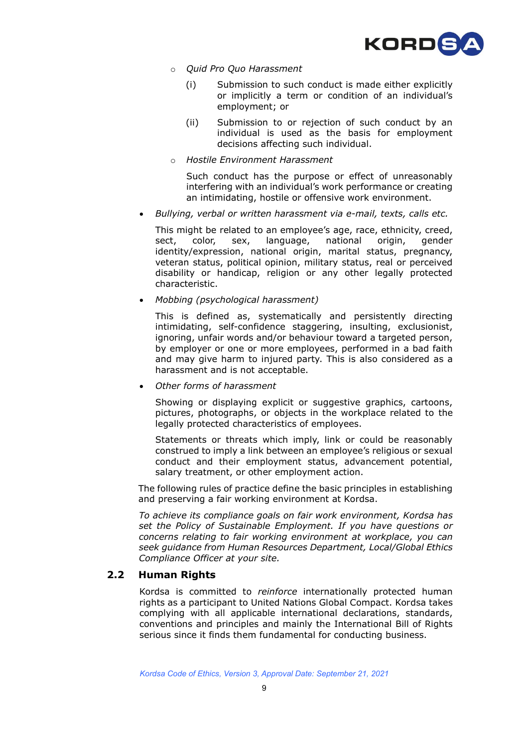

- o *Quid Pro Quo Harassment*
	- (i) Submission to such conduct is made either explicitly or implicitly a term or condition of an individual's employment; or
	- (ii) Submission to or rejection of such conduct by an individual is used as the basis for employment decisions affecting such individual.
- o *Hostile Environment Harassment*

Such conduct has the purpose or effect of unreasonably interfering with an individual's work performance or creating an intimidating, hostile or offensive work environment.

• *Bullying, verbal or written harassment via e-mail, texts, calls etc.*

This might be related to an employee's age, race, ethnicity, creed, sect, color, sex, language, national origin, gender identity/expression, national origin, marital status, pregnancy, veteran status, political opinion, military status, real or perceived disability or handicap, religion or any other legally protected characteristic.

• *Mobbing (psychological harassment)*

This is defined as, systematically and persistently directing intimidating, self-confidence staggering, insulting, exclusionist, ignoring, unfair words and/or behaviour toward a targeted person, by employer or one or more employees, performed in a bad faith and may give harm to injured party. This is also considered as a harassment and is not acceptable.

• *Other forms of harassment* 

Showing or displaying explicit or suggestive graphics, cartoons, pictures, photographs, or objects in the workplace related to the legally protected characteristics of employees.

Statements or threats which imply, link or could be reasonably construed to imply a link between an employee's religious or sexual conduct and their employment status, advancement potential, salary treatment, or other employment action.

The following rules of practice define the basic principles in establishing and preserving a fair working environment at Kordsa.

*To achieve its compliance goals on fair work environment, Kordsa has set the Policy of Sustainable Employment. If you have questions or concerns relating to fair working environment at workplace, you can seek guidance from Human Resources Department, Local/Global Ethics Compliance Officer at your site.*

#### **2.2 Human Rights**

Kordsa is committed to *reinforce* internationally protected human rights as a participant to United Nations Global Compact. Kordsa takes complying with all applicable international declarations, standards, conventions and principles and mainly the International Bill of Rights serious since it finds them fundamental for conducting business.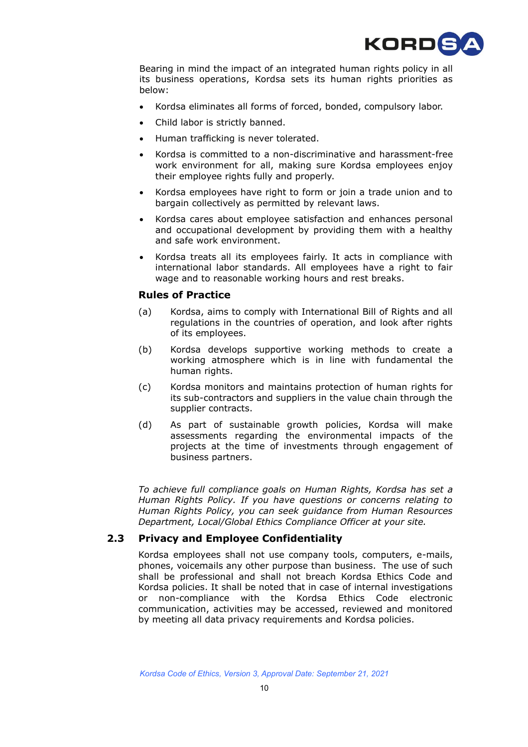

Bearing in mind the impact of an integrated human rights policy in all its business operations, Kordsa sets its human rights priorities as below:

- Kordsa eliminates all forms of forced, bonded, compulsory labor.
- Child labor is strictly banned.
- Human trafficking is never tolerated.
- Kordsa is committed to a non-discriminative and harassment-free work environment for all, making sure Kordsa employees enjoy their employee rights fully and properly.
- Kordsa employees have right to form or join a trade union and to bargain collectively as permitted by relevant laws.
- Kordsa cares about employee satisfaction and enhances personal and occupational development by providing them with a healthy and safe work environment.
- Kordsa treats all its employees fairly. It acts in compliance with international labor standards. All employees have a right to fair wage and to reasonable working hours and rest breaks.

#### **Rules of Practice**

- (a) Kordsa, aims to comply with International Bill of Rights and all regulations in the countries of operation, and look after rights of its employees.
- (b) Kordsa develops supportive working methods to create a working atmosphere which is in line with fundamental the human rights.
- (c) Kordsa monitors and maintains protection of human rights for its sub-contractors and suppliers in the value chain through the supplier contracts.
- (d) As part of sustainable growth policies, Kordsa will make assessments regarding the environmental impacts of the projects at the time of investments through engagement of business partners.

*To achieve full compliance goals on Human Rights, Kordsa has set a Human Rights Policy. If you have questions or concerns relating to Human Rights Policy, you can seek guidance from Human Resources Department, Local/Global Ethics Compliance Officer at your site.*

#### **2.3 Privacy and Employee Confidentiality**

Kordsa employees shall not use company tools, computers, e-mails, phones, voicemails any other purpose than business. The use of such shall be professional and shall not breach Kordsa Ethics Code and Kordsa policies. It shall be noted that in case of internal investigations or non-compliance with the Kordsa Ethics Code electronic communication, activities may be accessed, reviewed and monitored by meeting all data privacy requirements and Kordsa policies.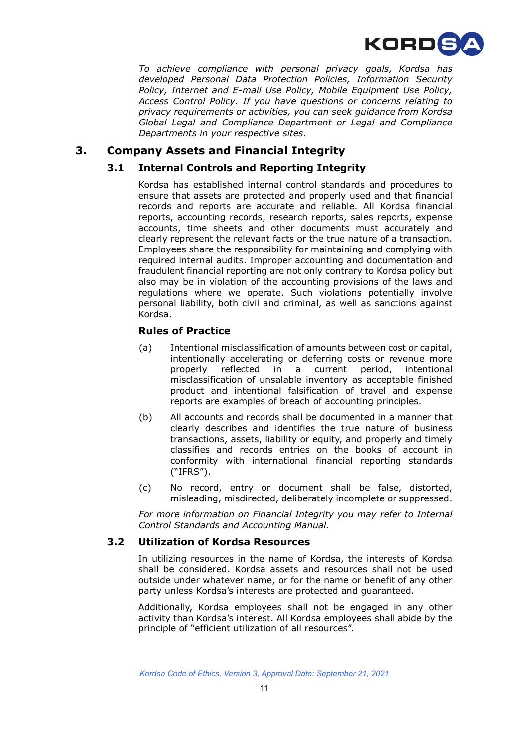

*To achieve compliance with personal privacy goals, Kordsa has developed Personal Data Protection Policies, Information Security Policy, Internet and E-mail Use Policy, Mobile Equipment Use Policy, Access Control Policy. If you have questions or concerns relating to privacy requirements or activities, you can seek guidance from Kordsa Global Legal and Compliance Department or Legal and Compliance Departments in your respective sites.*

## **3. Company Assets and Financial Integrity**

#### **3.1 Internal Controls and Reporting Integrity**

Kordsa has established internal control standards and procedures to ensure that assets are protected and properly used and that financial records and reports are accurate and reliable. All Kordsa financial reports, accounting records, research reports, sales reports, expense accounts, time sheets and other documents must accurately and clearly represent the relevant facts or the true nature of a transaction. Employees share the responsibility for maintaining and complying with required internal audits. Improper accounting and documentation and fraudulent financial reporting are not only contrary to Kordsa policy but also may be in violation of the accounting provisions of the laws and regulations where we operate. Such violations potentially involve personal liability, both civil and criminal, as well as sanctions against Kordsa.

#### **Rules of Practice**

- (a) Intentional misclassification of amounts between cost or capital, intentionally accelerating or deferring costs or revenue more properly reflected in a current period, intentional misclassification of unsalable inventory as acceptable finished product and intentional falsification of travel and expense reports are examples of breach of accounting principles.
- (b) All accounts and records shall be documented in a manner that clearly describes and identifies the true nature of business transactions, assets, liability or equity, and properly and timely classifies and records entries on the books of account in conformity with international financial reporting standards ("IFRS").
- (c) No record, entry or document shall be false, distorted, misleading, misdirected, deliberately incomplete or suppressed.

*For more information on Financial Integrity you may refer to Internal Control Standards and Accounting Manual.* 

#### **3.2 Utilization of Kordsa Resources**

In utilizing resources in the name of Kordsa, the interests of Kordsa shall be considered. Kordsa assets and resources shall not be used outside under whatever name, or for the name or benefit of any other party unless Kordsa's interests are protected and guaranteed.

Additionally, Kordsa employees shall not be engaged in any other activity than Kordsa's interest. All Kordsa employees shall abide by the principle of "efficient utilization of all resources".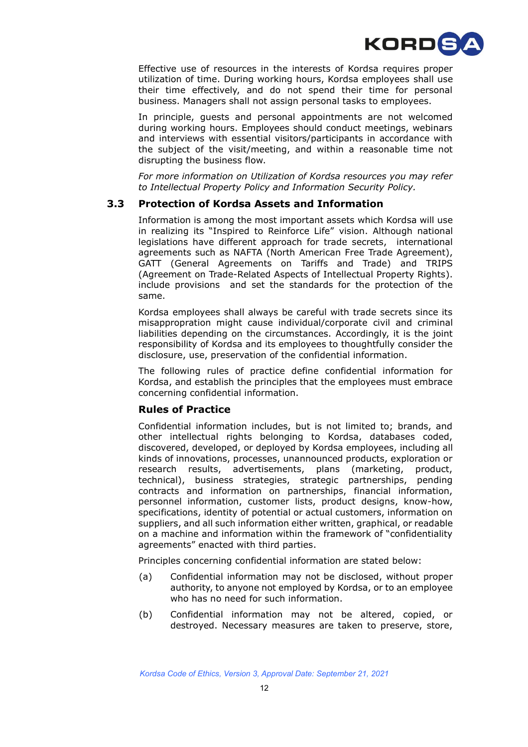

Effective use of resources in the interests of Kordsa requires proper utilization of time. During working hours, Kordsa employees shall use their time effectively, and do not spend their time for personal business. Managers shall not assign personal tasks to employees.

In principle, guests and personal appointments are not welcomed during working hours. Employees should conduct meetings, webinars and interviews with essential visitors/participants in accordance with the subject of the visit/meeting, and within a reasonable time not disrupting the business flow.

*For more information on Utilization of Kordsa resources you may refer to Intellectual Property Policy and Information Security Policy.*

#### **3.3 Protection of Kordsa Assets and Information**

Information is among the most important assets which Kordsa will use in realizing its "Inspired to Reinforce Life" vision. Although national legislations have different approach for trade secrets, international agreements such as NAFTA (North American Free Trade Agreement), GATT (General Agreements on Tariffs and Trade) and TRIPS [\(Agreement on Trade-Related Aspects of Intellectual Property Rights\)](https://www.wto.org/english/tratop_e/trips_e/trips_e.htm). include provisions and set the standards for the protection of the same.

Kordsa employees shall always be careful with trade secrets since its misappropration might cause individual/corporate civil and criminal liabilities depending on the circumstances. Accordingly, it is the joint responsibility of Kordsa and its employees to thoughtfully consider the disclosure, use, preservation of the confidential information.

The following rules of practice define confidential information for Kordsa, and establish the principles that the employees must embrace concerning confidential information.

#### **Rules of Practice**

Confidential information includes, but is not limited to; brands, and other intellectual rights belonging to Kordsa, databases coded, discovered, developed, or deployed by Kordsa employees, including all kinds of innovations, processes, unannounced products, exploration or research results, advertisements, plans (marketing, product, technical), business strategies, strategic partnerships, pending contracts and information on partnerships, financial information, personnel information, customer lists, product designs, know-how, specifications, identity of potential or actual customers, information on suppliers, and all such information either written, graphical, or readable on a machine and information within the framework of "confidentiality agreements" enacted with third parties.

Principles concerning confidential information are stated below:

- (a) Confidential information may not be disclosed, without proper authority, to anyone not employed by Kordsa, or to an employee who has no need for such information.
- (b) Confidential information may not be altered, copied, or destroyed. Necessary measures are taken to preserve, store,

*Kordsa Code of Ethics, Version 3, Approval Date: September 21, 2021*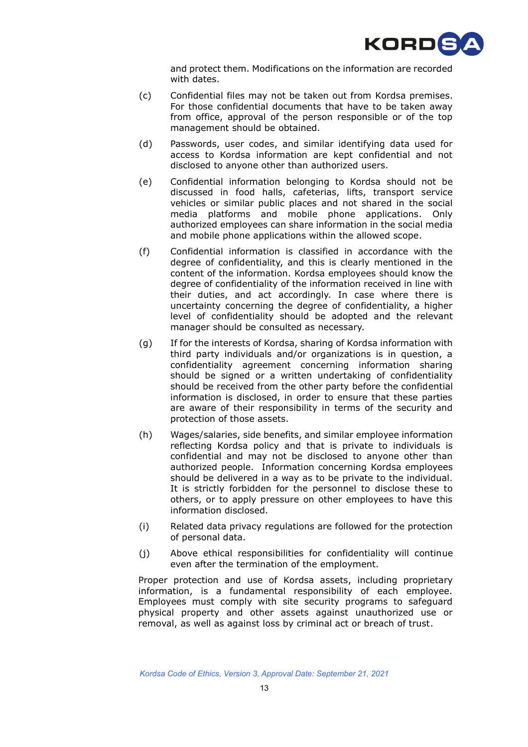

and protect them. Modifications on the information are recorded with dates.

- (c) Confidential files may not be taken out from Kordsa premises. For those confidential documents that have to be taken away from office, approval of the person responsible or of the top management should be obtained.
- (d) Passwords, user codes, and similar identifying data used for access to Kordsa information are kept confidential and not disclosed to anyone other than authorized users.
- (e) Confidential information belonging to Kordsa should not be discussed in food halls, cafeterias, lifts, transport service vehicles or similar public places and not shared in the social media platforms and mobile phone applications. Only authorized employees can share information in the social media and mobile phone applications within the allowed scope.
- (f) Confidential information is classified in accordance with the degree of confidentiality, and this is clearly mentioned in the content of the information. Kordsa employees should know the degree of confidentiality of the information received in line with their duties, and act accordingly. In case where there is uncertainty concerning the degree of confidentiality, a higher level of confidentiality should be adopted and the relevant manager should be consulted as necessary.
- (g) If for the interests of Kordsa, sharing of Kordsa information with third party individuals and/or organizations is in question, a confidentiality agreement concerning information sharing should be signed or a written undertaking of confidentiality should be received from the other party before the confidential information is disclosed, in order to ensure that these parties are aware of their responsibility in terms of the security and protection of those assets.
- (h) Wages/salaries, side benefits, and similar employee information reflecting Kordsa policy and that is private to individuals is confidential and may not be disclosed to anyone other than authorized people. Information concerning Kordsa employees should be delivered in a way as to be private to the individual. It is strictly forbidden for the personnel to disclose these to others, or to apply pressure on other employees to have this information disclosed.
- (i) Related data privacy regulations are followed for the protection of personal data.
- (j) Above ethical responsibilities for confidentiality will continue even after the termination of the employment.

Proper protection and use of Kordsa assets, including proprietary information, is a fundamental responsibility of each employee. Employees must comply with site security programs to safeguard physical property and other assets against unauthorized use or removal, as well as against loss by criminal act or breach of trust.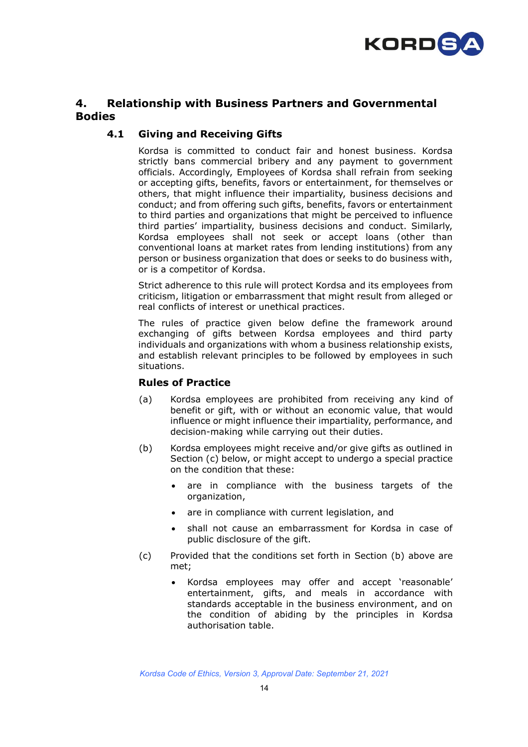

## **4. Relationship with Business Partners and Governmental Bodies**

#### **4.1 Giving and Receiving Gifts**

Kordsa is committed to conduct fair and honest business. Kordsa strictly bans commercial bribery and any payment to government officials. Accordingly, Employees of Kordsa shall refrain from seeking or accepting gifts, benefits, favors or entertainment, for themselves or others, that might influence their impartiality, business decisions and conduct; and from offering such gifts, benefits, favors or entertainment to third parties and organizations that might be perceived to influence third parties' impartiality, business decisions and conduct. Similarly, Kordsa employees shall not seek or accept loans (other than conventional loans at market rates from lending institutions) from any person or business organization that does or seeks to do business with, or is a competitor of Kordsa.

Strict adherence to this rule will protect Kordsa and its employees from criticism, litigation or embarrassment that might result from alleged or real conflicts of interest or unethical practices.

The rules of practice given below define the framework around exchanging of gifts between Kordsa employees and third party individuals and organizations with whom a business relationship exists, and establish relevant principles to be followed by employees in such situations.

#### **Rules of Practice**

- (a) Kordsa employees are prohibited from receiving any kind of benefit or gift, with or without an economic value, that would influence or might influence their impartiality, performance, and decision-making while carrying out their duties.
- (b) Kordsa employees might receive and/or give gifts as outlined in Section (c) below, or might accept to undergo a special practice on the condition that these:
	- are in compliance with the business targets of the organization,
	- are in compliance with current legislation, and
	- shall not cause an embarrassment for Kordsa in case of public disclosure of the gift.
- (c) Provided that the conditions set forth in Section (b) above are met;
	- Kordsa employees may offer and accept 'reasonable' entertainment, gifts, and meals in accordance with standards acceptable in the business environment, and on the condition of abiding by the principles in Kordsa authorisation table.

*Kordsa Code of Ethics, Version 3, Approval Date: September 21, 2021*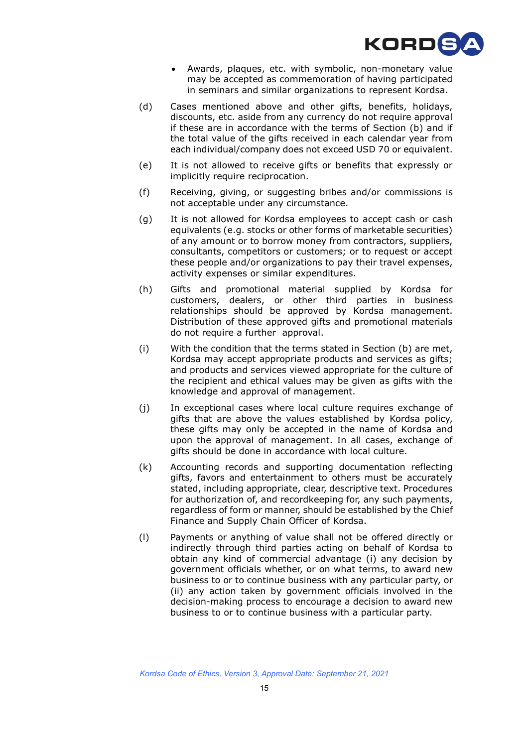

- Awards, plaques, etc. with symbolic, non-monetary value may be accepted as commemoration of having participated in seminars and similar organizations to represent Kordsa.
- (d) Cases mentioned above and other gifts, benefits, holidays, discounts, etc. aside from any currency do not require approval if these are in accordance with the terms of Section (b) and if the total value of the gifts received in each calendar year from each individual/company does not exceed USD 70 or equivalent.
- (e) It is not allowed to receive gifts or benefits that expressly or implicitly require reciprocation.
- (f) Receiving, giving, or suggesting bribes and/or commissions is not acceptable under any circumstance.
- (g) It is not allowed for Kordsa employees to accept cash or cash equivalents (e.g. stocks or other forms of marketable securities) of any amount or to borrow money from contractors, suppliers, consultants, competitors or customers; or to request or accept these people and/or organizations to pay their travel expenses, activity expenses or similar expenditures.
- (h) Gifts and promotional material supplied by Kordsa for customers, dealers, or other third parties in business relationships should be approved by Kordsa management. Distribution of these approved gifts and promotional materials do not require a further approval.
- (i) With the condition that the terms stated in Section (b) are met, Kordsa may accept appropriate products and services as gifts; and products and services viewed appropriate for the culture of the recipient and ethical values may be given as gifts with the knowledge and approval of management.
- (j) In exceptional cases where local culture requires exchange of gifts that are above the values established by Kordsa policy, these gifts may only be accepted in the name of Kordsa and upon the approval of management. In all cases, exchange of gifts should be done in accordance with local culture.
- (k) Accounting records and supporting documentation reflecting gifts, favors and entertainment to others must be accurately stated, including appropriate, clear, descriptive text. Procedures for authorization of, and recordkeeping for, any such payments, regardless of form or manner, should be established by the Chief Finance and Supply Chain Officer of Kordsa.
- (l) Payments or anything of value shall not be offered directly or indirectly through third parties acting on behalf of Kordsa to obtain any kind of commercial advantage (i) any decision by government officials whether, or on what terms, to award new business to or to continue business with any particular party, or (ii) any action taken by government officials involved in the decision-making process to encourage a decision to award new business to or to continue business with a particular party.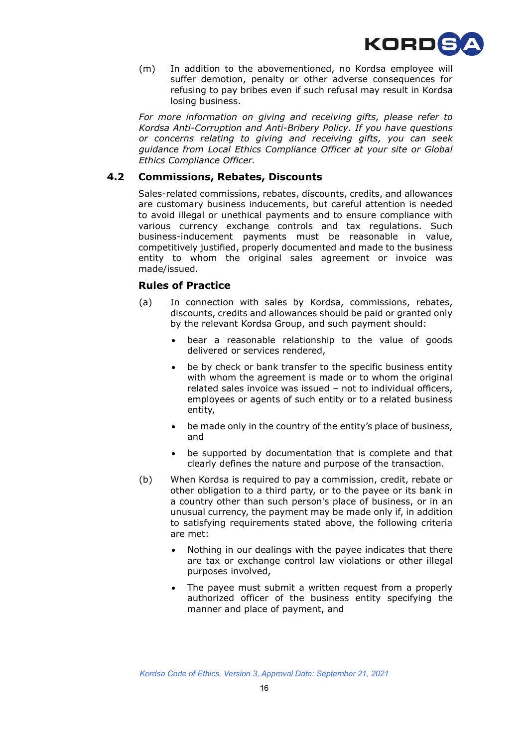

(m) In addition to the abovementioned, no Kordsa employee will suffer demotion, penalty or other adverse consequences for refusing to pay bribes even if such refusal may result in Kordsa losing business.

*For more information on giving and receiving gifts, please refer to Kordsa Anti-Corruption and Anti-Bribery Policy. If you have questions or concerns relating to giving and receiving gifts, you can seek guidance from Local Ethics Compliance Officer at your site or Global Ethics Compliance Officer.* 

#### **4.2 Commissions, Rebates, Discounts**

Sales-related commissions, rebates, discounts, credits, and allowances are customary business inducements, but careful attention is needed to avoid illegal or unethical payments and to ensure compliance with various currency exchange controls and tax regulations. Such business-inducement payments must be reasonable in value, competitively justified, properly documented and made to the business entity to whom the original sales agreement or invoice was made/issued.

#### **Rules of Practice**

- (a) In connection with sales by Kordsa, commissions, rebates, discounts, credits and allowances should be paid or granted only by the relevant Kordsa Group, and such payment should:
	- bear a reasonable relationship to the value of goods delivered or services rendered,
	- be by check or bank transfer to the specific business entity with whom the agreement is made or to whom the original related sales invoice was issued – not to individual officers, employees or agents of such entity or to a related business entity,
	- be made only in the country of the entity's place of business, and
	- be supported by documentation that is complete and that clearly defines the nature and purpose of the transaction.
- (b) When Kordsa is required to pay a commission, credit, rebate or other obligation to a third party, or to the payee or its bank in a country other than such person's place of business, or in an unusual currency, the payment may be made only if, in addition to satisfying requirements stated above, the following criteria are met:
	- Nothing in our dealings with the payee indicates that there are tax or exchange control law violations or other illegal purposes involved,
	- The payee must submit a written request from a properly authorized officer of the business entity specifying the manner and place of payment, and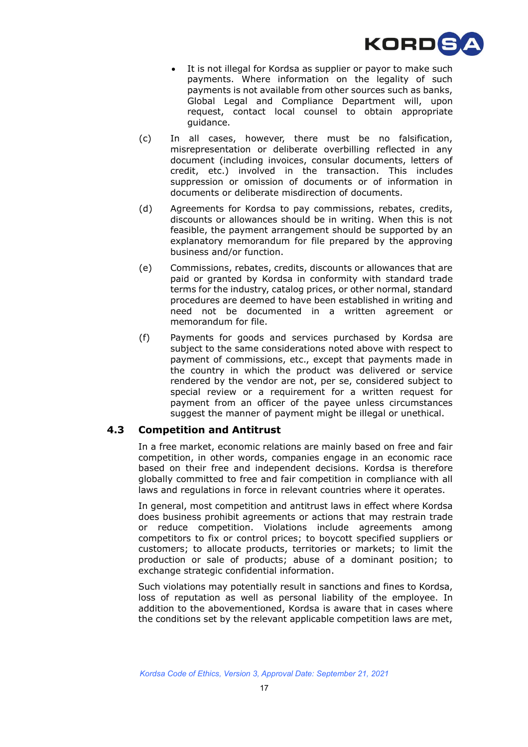

- It is not illegal for Kordsa as supplier or payor to make such payments. Where information on the legality of such payments is not available from other sources such as banks, Global Legal and Compliance Department will, upon request, contact local counsel to obtain appropriate guidance.
- (c) In all cases, however, there must be no falsification, misrepresentation or deliberate overbilling reflected in any document (including invoices, consular documents, letters of credit, etc.) involved in the transaction. This includes suppression or omission of documents or of information in documents or deliberate misdirection of documents.
- (d) Agreements for Kordsa to pay commissions, rebates, credits, discounts or allowances should be in writing. When this is not feasible, the payment arrangement should be supported by an explanatory memorandum for file prepared by the approving business and/or function.
- (e) Commissions, rebates, credits, discounts or allowances that are paid or granted by Kordsa in conformity with standard trade terms for the industry, catalog prices, or other normal, standard procedures are deemed to have been established in writing and need not be documented in a written agreement or memorandum for file.
- (f) Payments for goods and services purchased by Kordsa are subject to the same considerations noted above with respect to payment of commissions, etc., except that payments made in the country in which the product was delivered or service rendered by the vendor are not, per se, considered subject to special review or a requirement for a written request for payment from an officer of the payee unless circumstances suggest the manner of payment might be illegal or unethical.

#### **4.3 Competition and Antitrust**

In a free market, economic relations are mainly based on free and fair competition, in other words, companies engage in an economic race based on their free and independent decisions. Kordsa is therefore globally committed to free and fair competition in compliance with all laws and regulations in force in relevant countries where it operates.

In general, most competition and antitrust laws in effect where Kordsa does business prohibit agreements or actions that may restrain trade or reduce competition. Violations include agreements among competitors to fix or control prices; to boycott specified suppliers or customers; to allocate products, territories or markets; to limit the production or sale of products; abuse of a dominant position; to exchange strategic confidential information.

Such violations may potentially result in sanctions and fines to Kordsa, loss of reputation as well as personal liability of the employee. In addition to the abovementioned, Kordsa is aware that in cases where the conditions set by the relevant applicable competition laws are met,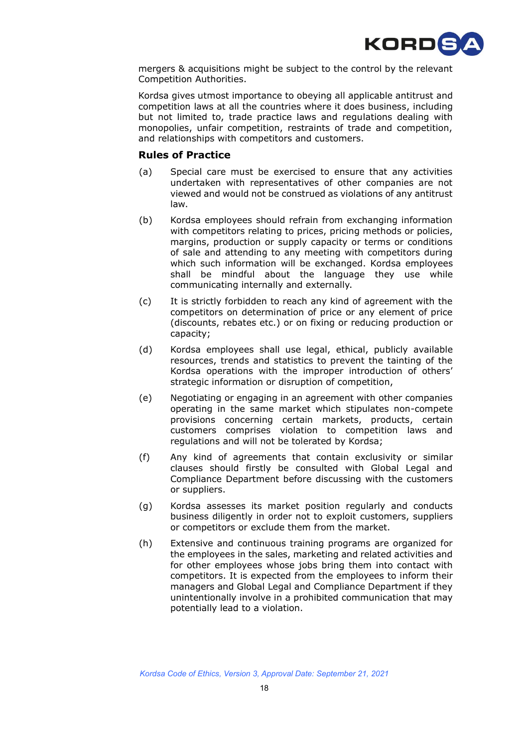

mergers & acquisitions might be subject to the control by the relevant Competition Authorities.

Kordsa gives utmost importance to obeying all applicable antitrust and competition laws at all the countries where it does business, including but not limited to, trade practice laws and regulations dealing with monopolies, unfair competition, restraints of trade and competition, and relationships with competitors and customers.

#### **Rules of Practice**

- (a) Special care must be exercised to ensure that any activities undertaken with representatives of other companies are not viewed and would not be construed as violations of any antitrust law.
- (b) Kordsa employees should refrain from exchanging information with competitors relating to prices, pricing methods or policies, margins, production or supply capacity or terms or conditions of sale and attending to any meeting with competitors during which such information will be exchanged. Kordsa employees shall be mindful about the language they use while communicating internally and externally.
- (c) It is strictly forbidden to reach any kind of agreement with the competitors on determination of price or any element of price (discounts, rebates etc.) or on fixing or reducing production or capacity;
- (d) Kordsa employees shall use legal, ethical, publicly available resources, trends and statistics to prevent the tainting of the Kordsa operations with the improper introduction of others' strategic information or disruption of competition,
- (e) Negotiating or engaging in an agreement with other companies operating in the same market which stipulates non-compete provisions concerning certain markets, products, certain customers comprises violation to competition laws and regulations and will not be tolerated by Kordsa;
- (f) Any kind of agreements that contain exclusivity or similar clauses should firstly be consulted with Global Legal and Compliance Department before discussing with the customers or suppliers.
- (g) Kordsa assesses its market position regularly and conducts business diligently in order not to exploit customers, suppliers or competitors or exclude them from the market.
- (h) Extensive and continuous training programs are organized for the employees in the sales, marketing and related activities and for other employees whose jobs bring them into contact with competitors. It is expected from the employees to inform their managers and Global Legal and Compliance Department if they unintentionally involve in a prohibited communication that may potentially lead to a violation.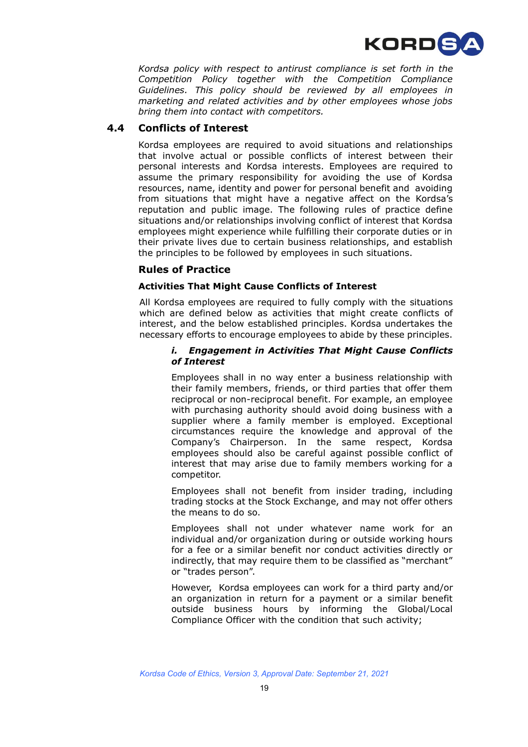

*Kordsa policy with respect to antirust compliance is set forth in the Competition Policy together with the Competition Compliance Guidelines. This policy should be reviewed by all employees in marketing and related activities and by other employees whose jobs bring them into contact with competitors.*

#### **4.4 Conflicts of Interest**

Kordsa employees are required to avoid situations and relationships that involve actual or possible conflicts of interest between their personal interests and Kordsa interests. Employees are required to assume the primary responsibility for avoiding the use of Kordsa resources, name, identity and power for personal benefit and avoiding from situations that might have a negative affect on the Kordsa's reputation and public image. The following rules of practice define situations and/or relationships involving conflict of interest that Kordsa employees might experience while fulfilling their corporate duties or in their private lives due to certain business relationships, and establish the principles to be followed by employees in such situations.

#### **Rules of Practice**

#### **Activities That Might Cause Conflicts of Interest**

All Kordsa employees are required to fully comply with the situations which are defined below as activities that might create conflicts of interest, and the below established principles. Kordsa undertakes the necessary efforts to encourage employees to abide by these principles.

#### *i. Engagement in Activities That Might Cause Conflicts of Interest*

Employees shall in no way enter a business relationship with their family members, friends, or third parties that offer them reciprocal or non-reciprocal benefit. For example, an employee with purchasing authority should avoid doing business with a supplier where a family member is employed. Exceptional circumstances require the knowledge and approval of the Company's Chairperson. In the same respect, Kordsa employees should also be careful against possible conflict of interest that may arise due to family members working for a competitor.

Employees shall not benefit from insider trading, including trading stocks at the Stock Exchange, and may not offer others the means to do so.

Employees shall not under whatever name work for an individual and/or organization during or outside working hours for a fee or a similar benefit nor conduct activities directly or indirectly, that may require them to be classified as "merchant" or "trades person".

However, Kordsa employees can work for a third party and/or an organization in return for a payment or a similar benefit outside business hours by informing the Global/Local Compliance Officer with the condition that such activity;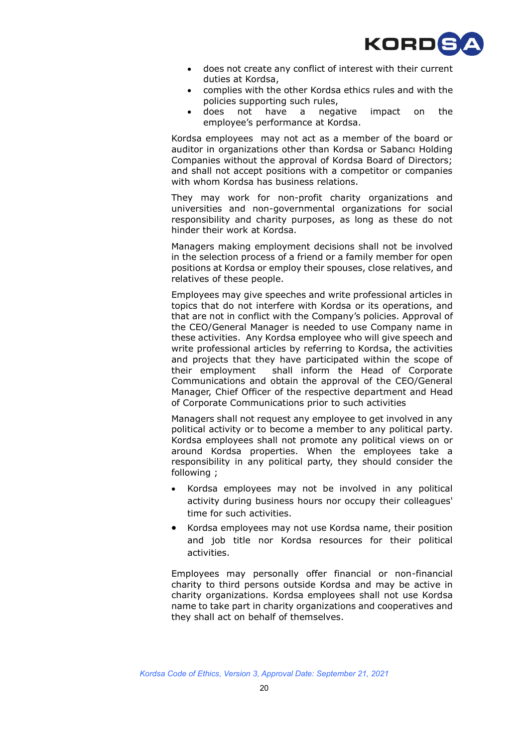

- does not create any conflict of interest with their current duties at Kordsa,
- complies with the other Kordsa ethics rules and with the policies supporting such rules,
- does not have a negative impact on the employee's performance at Kordsa.

Kordsa employees may not act as a member of the board or auditor in organizations other than Kordsa or Sabancı Holding Companies without the approval of Kordsa Board of Directors; and shall not accept positions with a competitor or companies with whom Kordsa has business relations.

They may work for non-profit charity organizations and universities and non-governmental organizations for social responsibility and charity purposes, as long as these do not hinder their work at Kordsa.

Managers making employment decisions shall not be involved in the selection process of a friend or a family member for open positions at Kordsa or employ their spouses, close relatives, and relatives of these people.

Employees may give speeches and write professional articles in topics that do not interfere with Kordsa or its operations, and that are not in conflict with the Company's policies. Approval of the CEO/General Manager is needed to use Company name in these activities. Any Kordsa employee who will give speech and write professional articles by referring to Kordsa, the activities and projects that they have participated within the scope of their employment shall inform the Head of Corporate Communications and obtain the approval of the CEO/General Manager, Chief Officer of the respective department and Head of Corporate Communications prior to such activities

Managers shall not request any employee to get involved in any political activity or to become a member to any political party. Kordsa employees shall not promote any political views on or around Kordsa properties. When the employees take a responsibility in any political party, they should consider the following ;

- Kordsa employees may not be involved in any political activity during business hours nor occupy their colleagues' time for such activities.
- Kordsa employees may not use Kordsa name, their position and job title nor Kordsa resources for their political activities.

Employees may personally offer financial or non-financial charity to third persons outside Kordsa and may be active in charity organizations. Kordsa employees shall not use Kordsa name to take part in charity organizations and cooperatives and they shall act on behalf of themselves.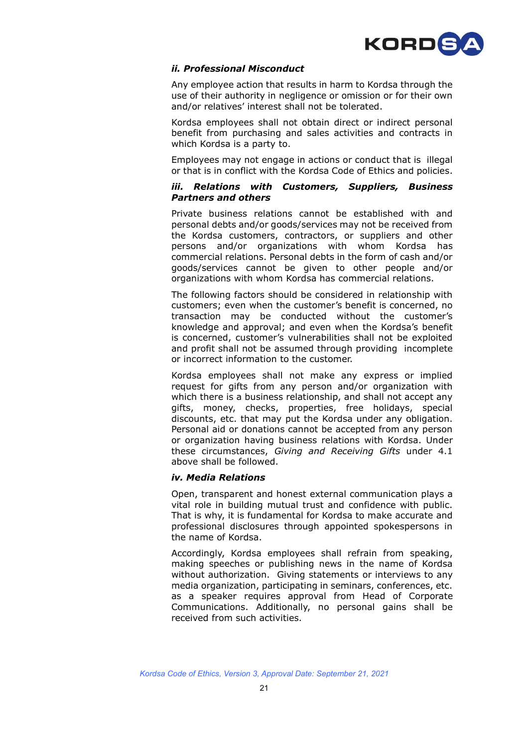

#### *ii. Professional Misconduct*

Any employee action that results in harm to Kordsa through the use of their authority in negligence or omission or for their own and/or relatives' interest shall not be tolerated.

Kordsa employees shall not obtain direct or indirect personal benefit from purchasing and sales activities and contracts in which Kordsa is a party to.

Employees may not engage in actions or conduct that is illegal or that is in conflict with the Kordsa Code of Ethics and policies.

#### *iii. Relations with Customers, Suppliers, Business Partners and others*

Private business relations cannot be established with and personal debts and/or goods/services may not be received from the Kordsa customers, contractors, or suppliers and other persons and/or organizations with whom Kordsa has commercial relations. Personal debts in the form of cash and/or goods/services cannot be given to other people and/or organizations with whom Kordsa has commercial relations.

The following factors should be considered in relationship with customers; even when the customer's benefit is concerned, no transaction may be conducted without the customer's knowledge and approval; and even when the Kordsa's benefit is concerned, customer's vulnerabilities shall not be exploited and profit shall not be assumed through providing incomplete or incorrect information to the customer.

Kordsa employees shall not make any express or implied request for gifts from any person and/or organization with which there is a business relationship, and shall not accept any gifts, money, checks, properties, free holidays, special discounts, etc. that may put the Kordsa under any obligation. Personal aid or donations cannot be accepted from any person or organization having business relations with Kordsa. Under these circumstances, *Giving and Receiving Gifts* under 4.1 above shall be followed.

#### *iv. Media Relations*

Open, transparent and honest external communication plays a vital role in building mutual trust and confidence with public. That is why, it is fundamental for Kordsa to make accurate and professional disclosures through appointed spokespersons in the name of Kordsa.

Accordingly, Kordsa employees shall refrain from speaking, making speeches or publishing news in the name of Kordsa without authorization. Giving statements or interviews to any media organization, participating in seminars, conferences, etc. as a speaker requires approval from Head of Corporate Communications. Additionally, no personal gains shall be received from such activities.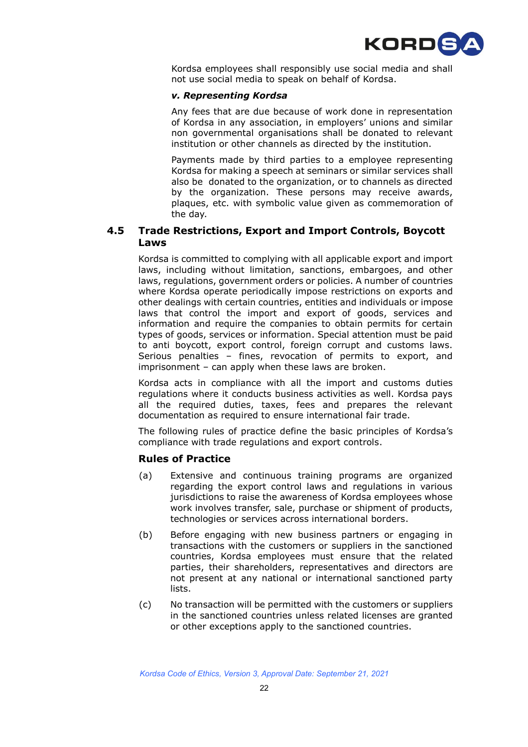

Kordsa employees shall responsibly use social media and shall not use social media to speak on behalf of Kordsa.

#### *v. Representing Kordsa*

Any fees that are due because of work done in representation of Kordsa in any association, in employers' unions and similar non governmental organisations shall be donated to relevant institution or other channels as directed by the institution.

Payments made by third parties to a employee representing Kordsa for making a speech at seminars or similar services shall also be donated to the organization, or to channels as directed by the organization. These persons may receive awards, plaques, etc. with symbolic value given as commemoration of the day.

#### **4.5 Trade Restrictions, Export and Import Controls, Boycott Laws**

Kordsa is committed to complying with all applicable export and import laws, including without limitation, sanctions, embargoes, and other laws, regulations, government orders or policies. A number of countries where Kordsa operate periodically impose restrictions on exports and other dealings with certain countries, entities and individuals or impose laws that control the import and export of goods, services and information and require the companies to obtain permits for certain types of goods, services or information. Special attention must be paid to anti boycott, export control, foreign corrupt and customs laws. Serious penalties – fines, revocation of permits to export, and imprisonment – can apply when these laws are broken.

Kordsa acts in compliance with all the import and customs duties regulations where it conducts business activities as well. Kordsa pays all the required duties, taxes, fees and prepares the relevant documentation as required to ensure international fair trade.

The following rules of practice define the basic principles of Kordsa's compliance with trade regulations and export controls.

#### **Rules of Practice**

- (a) Extensive and continuous training programs are organized regarding the export control laws and regulations in various jurisdictions to raise the awareness of Kordsa employees whose work involves transfer, sale, purchase or shipment of products, technologies or services across international borders.
- (b) Before engaging with new business partners or engaging in transactions with the customers or suppliers in the sanctioned countries, Kordsa employees must ensure that the related parties, their shareholders, representatives and directors are not present at any national or international sanctioned party lists.
- (c) No transaction will be permitted with the customers or suppliers in the sanctioned countries unless related licenses are granted or other exceptions apply to the sanctioned countries.

*Kordsa Code of Ethics, Version 3, Approval Date: September 21, 2021*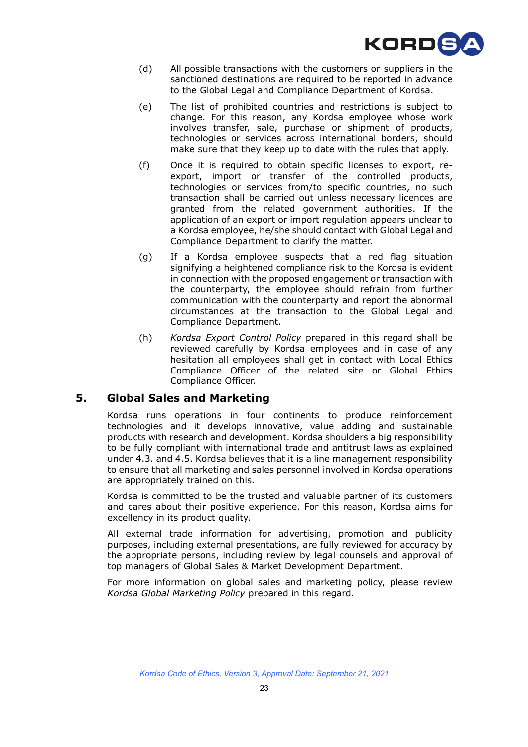

- (d) All possible transactions with the customers or suppliers in the sanctioned destinations are required to be reported in advance to the Global Legal and Compliance Department of Kordsa.
- (e) The list of prohibited countries and restrictions is subject to change. For this reason, any Kordsa employee whose work involves transfer, sale, purchase or shipment of products, technologies or services across international borders, should make sure that they keep up to date with the rules that apply.
- (f) Once it is required to obtain specific licenses to export, reexport, import or transfer of the controlled products, technologies or services from/to specific countries, no such transaction shall be carried out unless necessary licences are granted from the related government authorities. If the application of an export or import regulation appears unclear to a Kordsa employee, he/she should contact with Global Legal and Compliance Department to clarify the matter.
- (g) If a Kordsa employee suspects that a red flag situation signifying a heightened compliance risk to the Kordsa is evident in connection with the proposed engagement or transaction with the counterparty, the employee should refrain from further communication with the counterparty and report the abnormal circumstances at the transaction to the Global Legal and Compliance Department.
- (h) *Kordsa Export Control Policy* prepared in this regard shall be reviewed carefully by Kordsa employees and in case of any hesitation all employees shall get in contact with Local Ethics Compliance Officer of the related site or Global Ethics Compliance Officer.

## **5. Global Sales and Marketing**

Kordsa runs operations in four continents to produce reinforcement technologies and it develops innovative, value adding and sustainable products with research and development. Kordsa shoulders a big responsibility to be fully compliant with international trade and antitrust laws as explained under 4.3. and 4.5. Kordsa believes that it is a line management responsibility to ensure that all marketing and sales personnel involved in Kordsa operations are appropriately trained on this.

Kordsa is committed to be the trusted and valuable partner of its customers and cares about their positive experience. For this reason, Kordsa aims for excellency in its product quality.

All external trade information for advertising, promotion and publicity purposes, including external presentations, are fully reviewed for accuracy by the appropriate persons, including review by legal counsels and approval of top managers of Global Sales & Market Development Department.

For more information on global sales and marketing policy, please review *Kordsa Global Marketing Policy* prepared in this regard.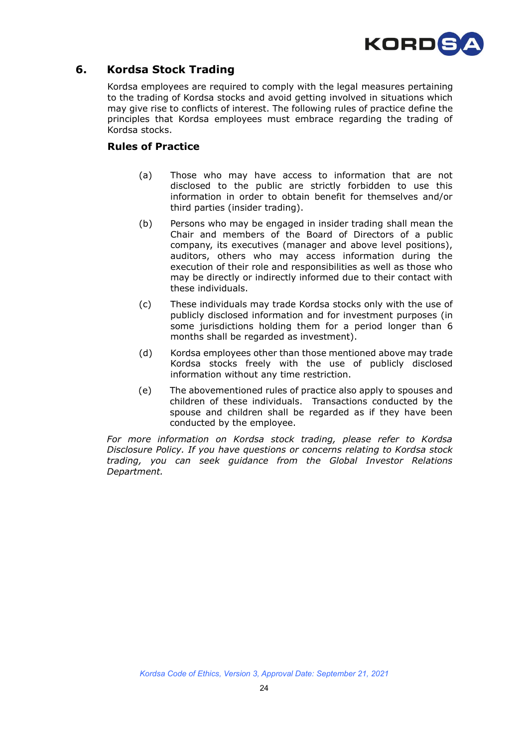

## **6. Kordsa Stock Trading**

Kordsa employees are required to comply with the legal measures pertaining to the trading of Kordsa stocks and avoid getting involved in situations which may give rise to conflicts of interest. The following rules of practice define the principles that Kordsa employees must embrace regarding the trading of Kordsa stocks.

### **Rules of Practice**

- (a) Those who may have access to information that are not disclosed to the public are strictly forbidden to use this information in order to obtain benefit for themselves and/or third parties (insider trading).
- (b) Persons who may be engaged in insider trading shall mean the Chair and members of the Board of Directors of a public company, its executives (manager and above level positions), auditors, others who may access information during the execution of their role and responsibilities as well as those who may be directly or indirectly informed due to their contact with these individuals.
- (c) These individuals may trade Kordsa stocks only with the use of publicly disclosed information and for investment purposes (in some jurisdictions holding them for a period longer than 6 months shall be regarded as investment).
- (d) Kordsa employees other than those mentioned above may trade Kordsa stocks freely with the use of publicly disclosed information without any time restriction.
- (e) The abovementioned rules of practice also apply to spouses and children of these individuals. Transactions conducted by the spouse and children shall be regarded as if they have been conducted by the employee.

*For more information on Kordsa stock trading, please refer to Kordsa Disclosure Policy. If you have questions or concerns relating to Kordsa stock trading, you can seek guidance from the Global Investor Relations Department.*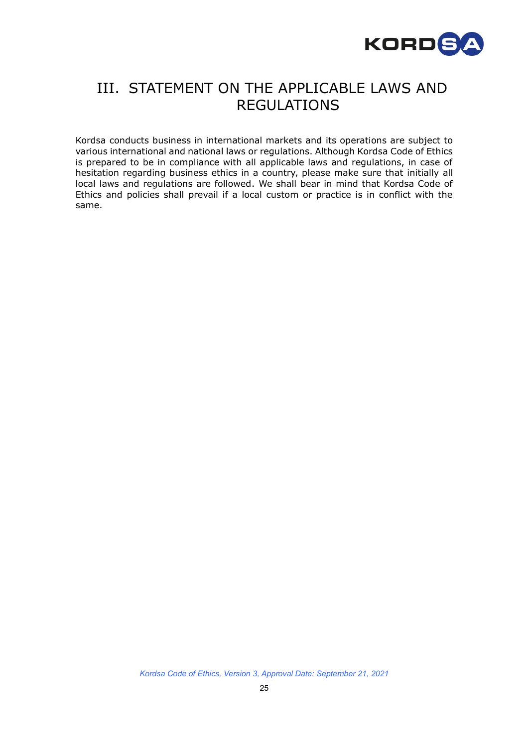

## III. STATEMENT ON THE APPLICABLE LAWS AND REGULATIONS

Kordsa conducts business in international markets and its operations are subject to various international and national laws or regulations. Although Kordsa Code of Ethics is prepared to be in compliance with all applicable laws and regulations, in case of hesitation regarding business ethics in a country, please make sure that initially all local laws and regulations are followed. We shall bear in mind that Kordsa Code of Ethics and policies shall prevail if a local custom or practice is in conflict with the same.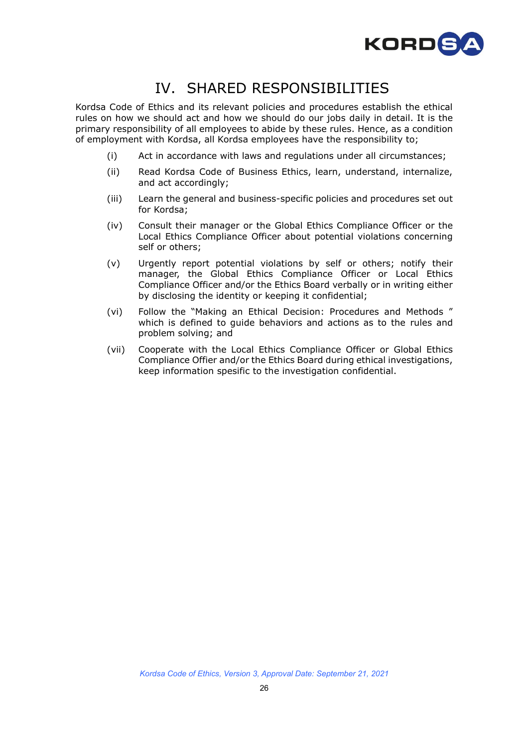

## IV. SHARED RESPONSIBILITIES

Kordsa Code of Ethics and its relevant policies and procedures establish the ethical rules on how we should act and how we should do our jobs daily in detail. It is the primary responsibility of all employees to abide by these rules. Hence, as a condition of employment with Kordsa, all Kordsa employees have the responsibility to;

- (i) Act in accordance with laws and regulations under all circumstances;
- (ii) Read Kordsa Code of Business Ethics, learn, understand, internalize, and act accordingly;
- (iii) Learn the general and business-specific policies and procedures set out for Kordsa;
- (iv) Consult their manager or the Global Ethics Compliance Officer or the Local Ethics Compliance Officer about potential violations concerning self or others;
- (v) Urgently report potential violations by self or others; notify their manager, the Global Ethics Compliance Officer or Local Ethics Compliance Officer and/or the Ethics Board verbally or in writing either by disclosing the identity or keeping it confidential;
- (vi) Follow the "Making an Ethical Decision: Procedures and Methods " which is defined to guide behaviors and actions as to the rules and problem solving; and
- (vii) Cooperate with the Local Ethics Compliance Officer or Global Ethics Compliance Offier and/or the Ethics Board during ethical investigations, keep information spesific to the investigation confidential.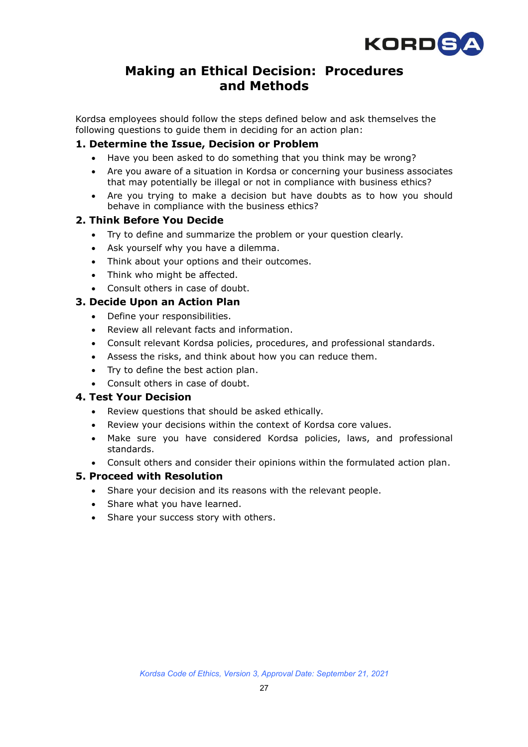

## **Making an Ethical Decision: Procedures and Methods**

Kordsa employees should follow the steps defined below and ask themselves the following questions to guide them in deciding for an action plan:

### **1. Determine the Issue, Decision or Problem**

- Have you been asked to do something that you think may be wrong?
- Are you aware of a situation in Kordsa or concerning your business associates that may potentially be illegal or not in compliance with business ethics?
- Are you trying to make a decision but have doubts as to how you should behave in compliance with the business ethics?

## **2. Think Before You Decide**

- Try to define and summarize the problem or your question clearly.
- Ask yourself why you have a dilemma.
- Think about your options and their outcomes.
- Think who might be affected.
- Consult others in case of doubt.

#### **3. Decide Upon an Action Plan**

- Define your responsibilities.
- Review all relevant facts and information.
- Consult relevant Kordsa policies, procedures, and professional standards.
- Assess the risks, and think about how you can reduce them.
- Try to define the best action plan.
- Consult others in case of doubt.

#### **4. Test Your Decision**

- Review questions that should be asked ethically.
- Review your decisions within the context of Kordsa core values.
- Make sure you have considered Kordsa policies, laws, and professional standards.
- Consult others and consider their opinions within the formulated action plan.

#### **5. Proceed with Resolution**

- Share your decision and its reasons with the relevant people.
- Share what you have learned.
- Share your success story with others.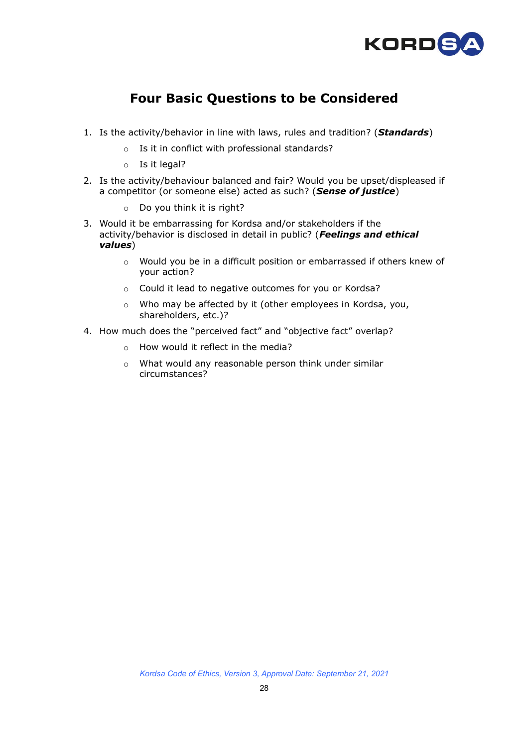

## **Four Basic Questions to be Considered**

- 1. Is the activity/behavior in line with laws, rules and tradition? (*Standards*)
	- o Is it in conflict with professional standards?
	- o Is it legal?
- 2. Is the activity/behaviour balanced and fair? Would you be upset/displeased if a competitor (or someone else) acted as such? (*[Sense of justice](javascript:ZE()*)
	- o Do you think it is right?
- 3. Would it be embarrassing for Kordsa and/or stakeholders if the activity/behavior is disclosed in detail in public? (*Feelings and ethical values*)
	- o Would you be in a difficult position or embarrassed if others knew of your action?
	- o Could it lead to negative outcomes for you or Kordsa?
	- o Who may be affected by it (other employees in Kordsa, you, shareholders, etc.)?
- 4. How much does the "perceived fact" and "objective fact" overlap?
	- o How would it reflect in the media?
	- o What would any reasonable person think under similar circumstances?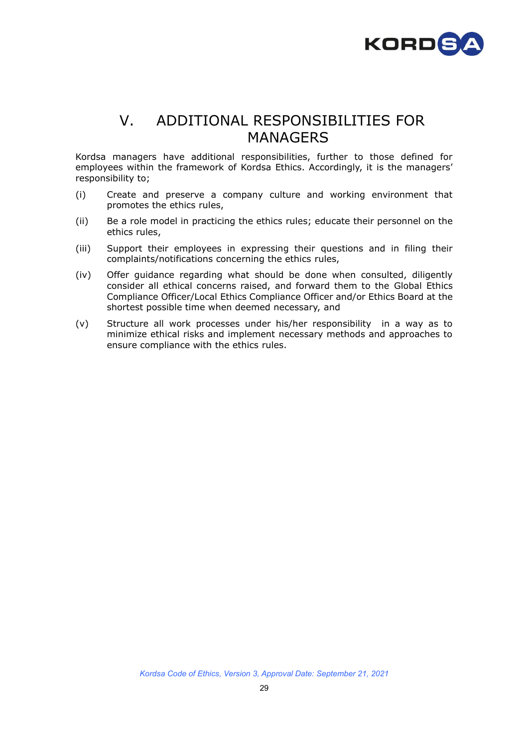

## V. ADDITIONAL RESPONSIBILITIES FOR MANAGERS

Kordsa managers have additional responsibilities, further to those defined for employees within the framework of Kordsa Ethics. Accordingly, it is the managers' responsibility to;

- (i) Create and preserve a company culture and working environment that promotes the ethics rules,
- (ii) Be a role model in practicing the ethics rules; educate their personnel on the ethics rules,
- (iii) Support their employees in expressing their questions and in filing their complaints/notifications concerning the ethics rules,
- (iv) Offer guidance regarding what should be done when consulted, diligently consider all ethical concerns raised, and forward them to the Global Ethics Compliance Officer/Local Ethics Compliance Officer and/or Ethics Board at the shortest possible time when deemed necessary, and
- (v) Structure all work processes under his/her responsibility in a way as to minimize ethical risks and implement necessary methods and approaches to ensure compliance with the ethics rules.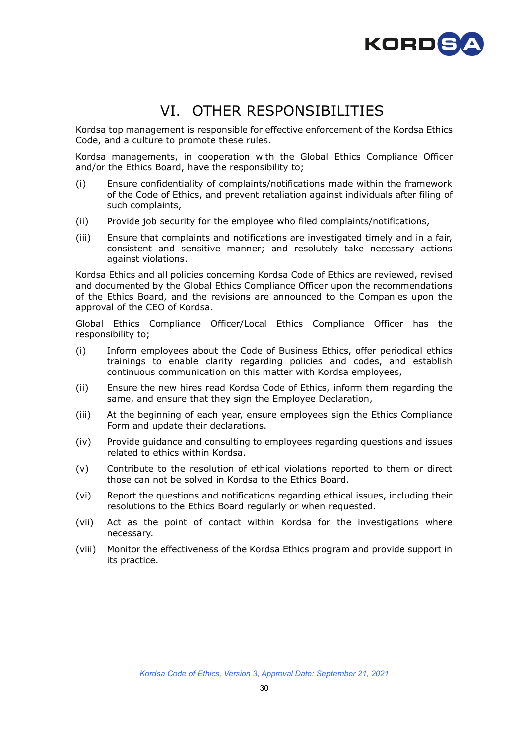

## VI. OTHER RESPONSIBILITIES

Kordsa top management is responsible for effective enforcement of the Kordsa Ethics Code, and a culture to promote these rules.

Kordsa managements, in cooperation with the Global Ethics Compliance Officer and/or the Ethics Board, have the responsibility to;

- (i) Ensure confidentiality of complaints/notifications made within the framework of the Code of Ethics, and prevent retaliation against individuals after filing of such complaints,
- (ii) Provide job security for the employee who filed complaints/notifications,
- (iii) Ensure that complaints and notifications are investigated timely and in a fair, consistent and sensitive manner; and resolutely take necessary actions against violations.

Kordsa Ethics and all policies concerning Kordsa Code of Ethics are reviewed, revised and documented by the Global Ethics Compliance Officer upon the recommendations of the Ethics Board, and the revisions are announced to the Companies upon the approval of the CEO of Kordsa.

Global Ethics Compliance Officer/Local Ethics Compliance Officer has the responsibility to;

- (i) Inform employees about the Code of Business Ethics, offer periodical ethics trainings to enable clarity regarding policies and codes, and establish continuous communication on this matter with Kordsa employees,
- (ii) Ensure the new hires read Kordsa Code of Ethics, inform them regarding the same, and ensure that they sign the Employee Declaration,
- (iii) At the beginning of each year, ensure employees sign the Ethics Compliance Form and update their declarations.
- (iv) Provide guidance and consulting to employees regarding questions and issues related to ethics within Kordsa.
- (v) Contribute to the resolution of ethical violations reported to them or direct those can not be solved in Kordsa to the Ethics Board.
- (vi) Report the questions and notifications regarding ethical issues, including their resolutions to the Ethics Board regularly or when requested.
- (vii) Act as the point of contact within Kordsa for the investigations where necessary.
- (viii) Monitor the effectiveness of the Kordsa Ethics program and provide support in its practice.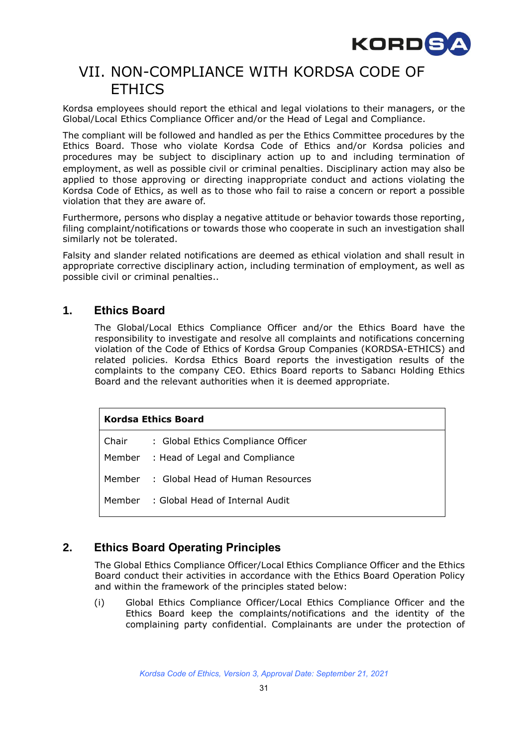

## VII. NON-COMPLIANCE WITH KORDSA CODE OF ETHICS

Kordsa employees should report the ethical and legal violations to their managers, or the Global/Local Ethics Compliance Officer and/or the Head of Legal and Compliance.

The compliant will be followed and handled as per the Ethics Committee procedures by the Ethics Board. Those who violate Kordsa Code of Ethics and/or Kordsa policies and procedures may be subject to disciplinary action up to and including termination of employment, as well as possible civil or criminal penalties. Disciplinary action may also be applied to those approving or directing inappropriate conduct and actions violating the Kordsa Code of Ethics, as well as to those who fail to raise a concern or report a possible violation that they are aware of.

Furthermore, persons who display a negative attitude or behavior towards those reporting, filing complaint/notifications or towards those who cooperate in such an investigation shall similarly not be tolerated.

Falsity and slander related notifications are deemed as ethical violation and shall result in appropriate corrective disciplinary action, including termination of employment, as well as possible civil or criminal penalties..

## **1. Ethics Board**

The Global/Local Ethics Compliance Officer and/or the Ethics Board have the responsibility to investigate and resolve all complaints and notifications concerning violation of the Code of Ethics of Kordsa Group Companies (KORDSA-ETHICS) and related policies. Kordsa Ethics Board reports the investigation results of the complaints to the company CEO. Ethics Board reports to Sabancı Holding Ethics Board and the relevant authorities when it is deemed appropriate.

#### **Kordsa Ethics Board**

| Chair | : Global Ethics Compliance Officer      |
|-------|-----------------------------------------|
|       | Member : Head of Legal and Compliance   |
|       | Member : Global Head of Human Resources |
|       | Member : Global Head of Internal Audit  |

## **2. Ethics Board Operating Principles**

The Global Ethics Compliance Officer/Local Ethics Compliance Officer and the Ethics Board conduct their activities in accordance with the Ethics Board Operation Policy and within the framework of the principles stated below:

(i) Global Ethics Compliance Officer/Local Ethics Compliance Officer and the Ethics Board keep the complaints/notifications and the identity of the complaining party confidential. Complainants are under the protection of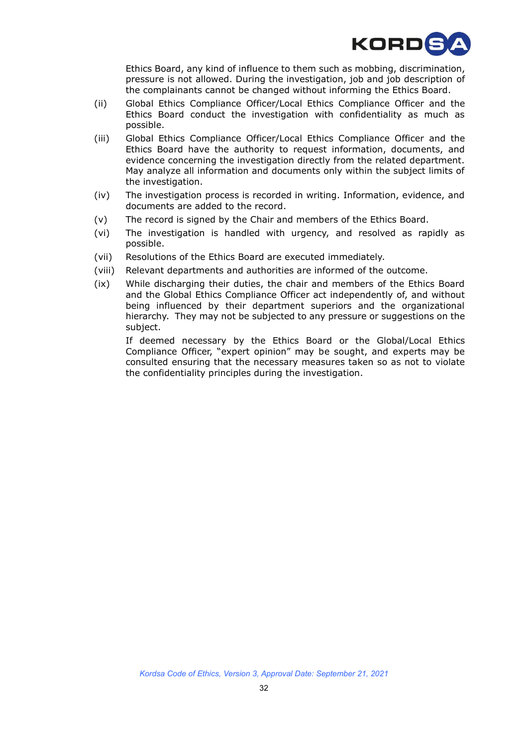

Ethics Board, any kind of influence to them such as mobbing, discrimination, pressure is not allowed. During the investigation, job and job description of the complainants cannot be changed without informing the Ethics Board.

- (ii) Global Ethics Compliance Officer/Local Ethics Compliance Officer and the Ethics Board conduct the investigation with confidentiality as much as possible.
- (iii) Global Ethics Compliance Officer/Local Ethics Compliance Officer and the Ethics Board have the authority to request information, documents, and evidence concerning the investigation directly from the related department. May analyze all information and documents only within the subject limits of the investigation.
- (iv) The investigation process is recorded in writing. Information, evidence, and documents are added to the record.
- (v) The record is signed by the Chair and members of the Ethics Board.
- (vi) The investigation is handled with urgency, and resolved as rapidly as possible.
- (vii) Resolutions of the Ethics Board are executed immediately.
- (viii) Relevant departments and authorities are informed of the outcome.
- (ix) While discharging their duties, the chair and members of the Ethics Board and the Global Ethics Compliance Officer act independently of, and without being influenced by their department superiors and the organizational hierarchy. They may not be subjected to any pressure or suggestions on the subject.

If deemed necessary by the Ethics Board or the Global/Local Ethics Compliance Officer, "expert opinion" may be sought, and experts may be consulted ensuring that the necessary measures taken so as not to violate the confidentiality principles during the investigation.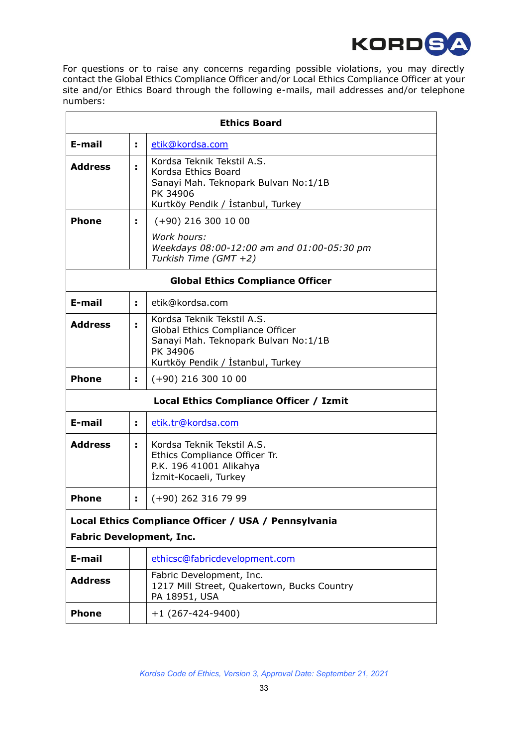

For questions or to raise any concerns regarding possible violations, you may directly contact the Global Ethics Compliance Officer and/or Local Ethics Compliance Officer at your site and/or Ethics Board through the following e-mails, mail addresses and/or telephone numbers:

| <b>Ethics Board</b>                                                                     |    |                                                                                                                                                           |  |  |
|-----------------------------------------------------------------------------------------|----|-----------------------------------------------------------------------------------------------------------------------------------------------------------|--|--|
| E-mail                                                                                  | ÷. | etik@kordsa.com                                                                                                                                           |  |  |
| <b>Address</b>                                                                          | ÷  | Kordsa Teknik Tekstil A.S.<br>Kordsa Ethics Board<br>Sanayi Mah. Teknopark Bulvarı No:1/1B<br>PK 34906<br>Kurtköy Pendik / İstanbul, Turkey               |  |  |
| <b>Phone</b>                                                                            | ÷  | $(+90)$ 216 300 10 00                                                                                                                                     |  |  |
|                                                                                         |    | Work hours:<br>Weekdays 08:00-12:00 am and 01:00-05:30 pm<br>Turkish Time (GMT +2)                                                                        |  |  |
| <b>Global Ethics Compliance Officer</b>                                                 |    |                                                                                                                                                           |  |  |
| E-mail                                                                                  | ÷. | etik@kordsa.com                                                                                                                                           |  |  |
| <b>Address</b>                                                                          |    | Kordsa Teknik Tekstil A.S.<br>Global Ethics Compliance Officer<br>Sanayi Mah. Teknopark Bulvarı No: 1/1B<br>PK 34906<br>Kurtköy Pendik / İstanbul, Turkey |  |  |
| <b>Phone</b>                                                                            | ÷. | $(+90)$ 216 300 10 00                                                                                                                                     |  |  |
| Local Ethics Compliance Officer / Izmit                                                 |    |                                                                                                                                                           |  |  |
| E-mail                                                                                  | ÷. | etik.tr@kordsa.com                                                                                                                                        |  |  |
| <b>Address</b>                                                                          | ÷  | Kordsa Teknik Tekstil A.S.<br>Ethics Compliance Officer Tr.<br>P.K. 196 41001 Alikahya<br>İzmit-Kocaeli, Turkey                                           |  |  |
| <b>Phone</b>                                                                            | ÷. | $(+90)$ 262 316 79 99                                                                                                                                     |  |  |
| Local Ethics Compliance Officer / USA / Pennsylvania<br><b>Fabric Development, Inc.</b> |    |                                                                                                                                                           |  |  |
| E-mail                                                                                  |    | ethicsc@fabricdevelopment.com                                                                                                                             |  |  |
| <b>Address</b>                                                                          |    | Fabric Development, Inc.<br>1217 Mill Street, Quakertown, Bucks Country<br>PA 18951, USA                                                                  |  |  |
| <b>Phone</b>                                                                            |    | $+1$ (267-424-9400)                                                                                                                                       |  |  |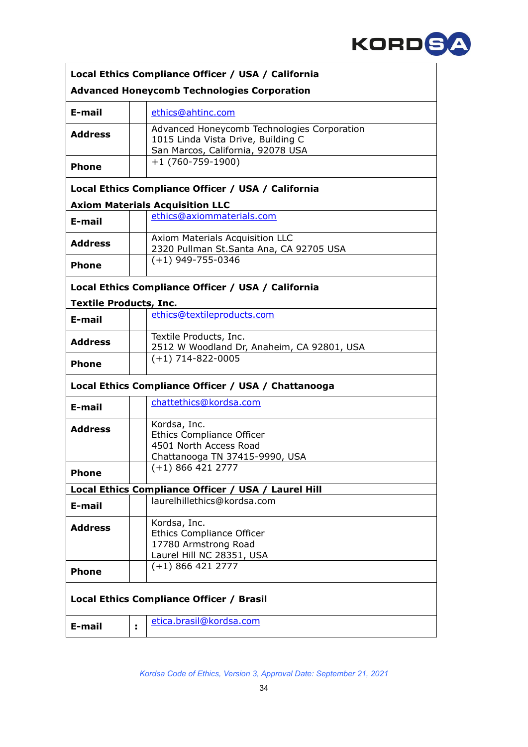

| Local Ethics Compliance Officer / USA / California  |    |                                                                                                                        |  |  |
|-----------------------------------------------------|----|------------------------------------------------------------------------------------------------------------------------|--|--|
| <b>Advanced Honeycomb Technologies Corporation</b>  |    |                                                                                                                        |  |  |
| E-mail                                              |    | ethics@ahtinc.com                                                                                                      |  |  |
| <b>Address</b>                                      |    | Advanced Honeycomb Technologies Corporation<br>1015 Linda Vista Drive, Building C<br>San Marcos, California, 92078 USA |  |  |
| <b>Phone</b>                                        |    | $+1(760-759-1900)$                                                                                                     |  |  |
|                                                     |    | Local Ethics Compliance Officer / USA / California                                                                     |  |  |
|                                                     |    | <b>Axiom Materials Acquisition LLC</b>                                                                                 |  |  |
| E-mail                                              |    | ethics@axiommaterials.com                                                                                              |  |  |
| <b>Address</b>                                      |    | Axiom Materials Acquisition LLC<br>2320 Pullman St.Santa Ana, CA 92705 USA                                             |  |  |
| <b>Phone</b>                                        |    | $(+1)$ 949-755-0346                                                                                                    |  |  |
|                                                     |    | Local Ethics Compliance Officer / USA / California                                                                     |  |  |
| <b>Textile Products, Inc.</b>                       |    |                                                                                                                        |  |  |
| E-mail                                              |    | ethics@textileproducts.com                                                                                             |  |  |
| <b>Address</b>                                      |    | Textile Products, Inc.<br>2512 W Woodland Dr, Anaheim, CA 92801, USA                                                   |  |  |
| <b>Phone</b>                                        |    | $(+1)$ 714-822-0005                                                                                                    |  |  |
| Local Ethics Compliance Officer / USA / Chattanooga |    |                                                                                                                        |  |  |
| E-mail                                              |    | chattethics@kordsa.com                                                                                                 |  |  |
| <b>Address</b>                                      |    | Kordsa, Inc.<br><b>Ethics Compliance Officer</b><br>4501 North Access Road<br>Chattanooga TN 37415-9990, USA           |  |  |
| <b>Phone</b>                                        |    | $(+1)$ 866 421 2777                                                                                                    |  |  |
|                                                     |    | Local Ethics Compliance Officer / USA / Laurel Hill                                                                    |  |  |
| E-mail                                              |    | laurelhillethics@kordsa.com                                                                                            |  |  |
| <b>Address</b>                                      |    | Kordsa, Inc.<br><b>Ethics Compliance Officer</b><br>17780 Armstrong Road<br>Laurel Hill NC 28351, USA                  |  |  |
| <b>Phone</b>                                        |    | $(+1)$ 866 421 2777                                                                                                    |  |  |
| Local Ethics Compliance Officer / Brasil            |    |                                                                                                                        |  |  |
| E-mail                                              | t, | etica.brasil@kordsa.com                                                                                                |  |  |

 $\mathbf{r}$